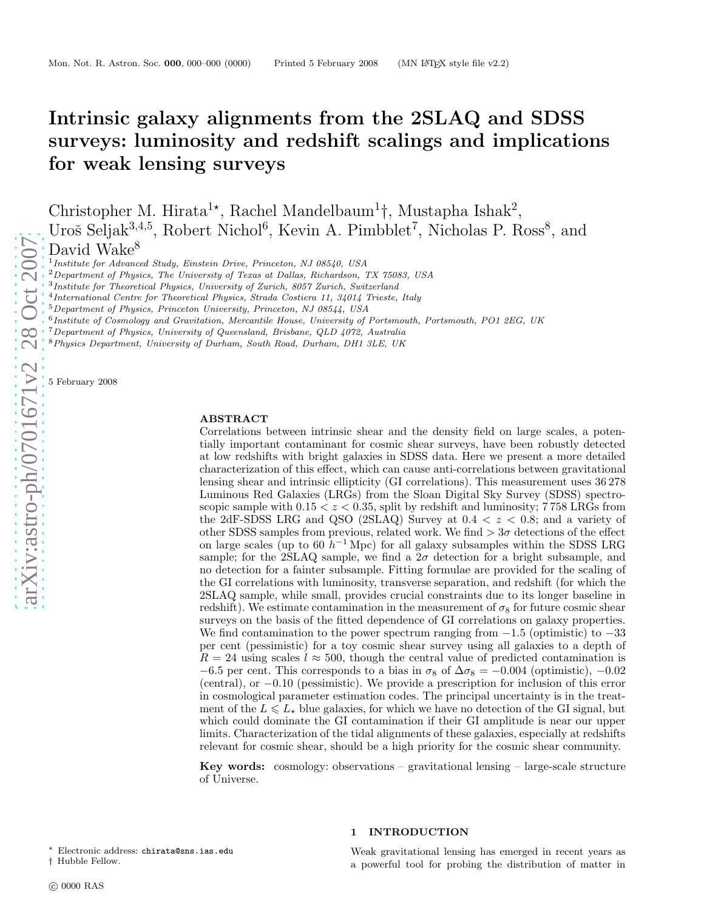# Intrinsic galaxy alignments from the 2SLAQ and SDSS surveys: luminosity and redshift scalings and implication s for weak lensing surveys

Christopher M. Hirata<sup>1\*</sup>, Rachel Mandelbaum<sup>1</sup><sup>†</sup>, Mustapha Ishak<sup>2</sup>, Uroš Seljak<sup>3,4,5</sup>, Robert Nichol<sup>6</sup>, Kevin A. Pimbblet<sup>7</sup>, Nicholas P. Ross<sup>8</sup>, and

David Wake<sup>8</sup>

<sup>1</sup> Institute for Advanced Study, Einstein Drive, Princeton, NJ 08540, USA

 ${}^{2}$ Department of Physics, The University of Texas at Dallas, Richardson, TX 75083, USA

- 4 International Centre for Theoretical Physics, Strada Costiera 11, 34014 Trieste, Italy
- <sup>5</sup>Department of Physics, Princeton University, Princeton, NJ 08544, USA

<sup>6</sup> Institute of Cosmology and Gravitation, Mercantile House, University of Portsmouth, Portsmouth, PO1 2EG, UK

<sup>7</sup>Department of Physics, University of Queensland, Brisbane, QLD 4072, Australia

<sup>8</sup>Physics Department, University of Durham, South Road, Durham, DH1 3LE, UK

5 February 2008

#### ABSTRACT

Correlations between intrinsic shear and the density field on large scales, a potentially important contaminant for cosmic shear surveys, have been robustly detected at low redshifts with bright galaxies in SDSS data. Here we present a more detailed characterization of this effect, which can cause anti-correlations between gravitational lensing shear and intrinsic ellipticity (GI correlations). This measurement uses 36 278 Luminous Red Galaxies (LRGs) from the Sloan Digital Sky Survey (SDSS) spectroscopic sample with  $0.15 < z < 0.35$ , split by redshift and luminosity; 758 LRGs from the 2dF-SDSS LRG and QSO (2SLAQ) Survey at  $0.4 < z < 0.8$ ; and a variety of other SDSS samples from previous, related work. We find  $> 3\sigma$  detections of the effect on large scales (up to 60  $h^{-1}$  Mpc) for all galaxy subsamples within the SDSS LRG sample; for the 2SLAQ sample, we find a  $2\sigma$  detection for a bright subsample, and no detection for a fainter subsample. Fitting formulae are provided for the scaling of the GI correlations with luminosity, transverse separation, and redshift (for which the 2SLAQ sample, while small, provides crucial constraints due to its longer baseline in redshift). We estimate contamination in the measurement of  $\sigma_8$  for future cosmic shear surveys on the basis of the fitted dependence of GI correlations on galaxy properties. We find contamination to the power spectrum ranging from  $-1.5$  (optimistic) to  $-33$ per cent (pessimistic) for a toy cosmic shear survey using all galaxies to a depth of  $R = 24$  using scales  $l \approx 500$ , though the central value of predicted contamination is  $-6.5$  per cent. This corresponds to a bias in  $\sigma_8$  of  $\Delta \sigma_8 = -0.004$  (optimistic),  $-0.02$ (central), or − 0 .10 (pessimistic). We provide a prescription for inclusion of this error in cosmological parameter estimation codes. The principal uncertainty is in the treatment of the  $L \leq L_{\star}$  blue galaxies, for which we have no detection of the GI signal, but which could dominate the GI contamination if their GI amplitude is near our upper limits. Characterization of the tidal alignments of these galaxies, especially at redshifts relevant for cosmic shear, should be a high priority for the cosmic shear community.

**Key words:** cosmology: observations – gravitational lensing – large-scale structure of Universe.

<sup>⋆</sup> Electronic address: chirata@sns.ias.edu

#### 1 INTRODUCTION

Weak gravitational lensing has emerged in recent years as a powerful tool for probing the distribution of matter in

<sup>&</sup>lt;sup>3</sup>Institute for Theoretical Physics, University of Zurich, 8057 Zurich, Switzerland

<sup>†</sup> Hubble Fellow.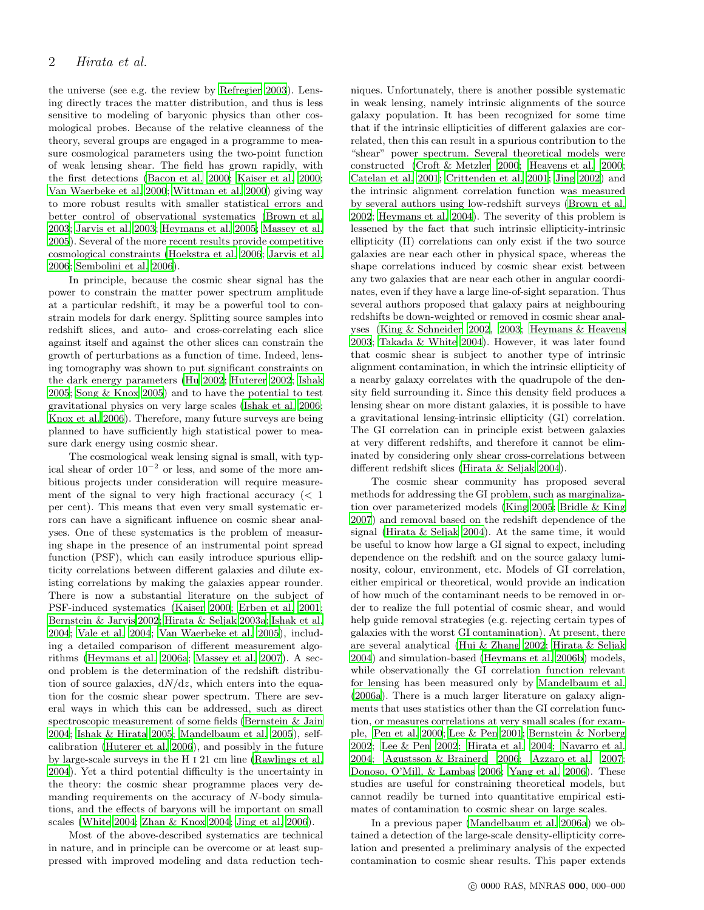the universe (see e.g. the review by [Refregier 2003](#page-20-0)). Lensing directly traces the matter distribution, and thus is less sensitive to modeling of baryonic physics than other cosmological probes. Because of the relative cleanness of the theory, several groups are engaged in a programme to measure cosmological parameters using the two-point function of weak lensing shear. The field has grown rapidly, with the first detections [\(Bacon et al. 2000](#page-19-0); [Kaiser et al. 2000;](#page-20-1) [Van Waerbeke et al. 2000](#page-21-0); [Wittman et al. 2000\)](#page-21-1) giving way to more robust results with smaller statistical errors and better control of observational systematics [\(Brown et al.](#page-19-1) [2003](#page-19-1); [Jarvis et al. 2003](#page-20-2); [Heymans et al. 2005;](#page-20-3) [Massey et al.](#page-20-4) [2005](#page-20-4)). Several of the more recent results provide competitive cosmological constraints [\(Hoekstra et al. 2006;](#page-20-5) [Jarvis et al.](#page-20-6) [2006](#page-20-6); [Sembolini et al. 2006](#page-20-7)).

In principle, because the cosmic shear signal has the power to constrain the matter power spectrum amplitude at a particular redshift, it may be a powerful tool to constrain models for dark energy. Splitting source samples into redshift slices, and auto- and cross-correlating each slice against itself and against the other slices can constrain the growth of perturbations as a function of time. Indeed, lensing tomography was shown to put significant constraints on the dark energy parameters [\(Hu 2002;](#page-20-8) [Huterer 2002;](#page-20-9) [Ishak](#page-20-10) [2005](#page-20-10); [Song & Knox 2005](#page-20-11)) and to have the potential to test gravitational physics on very large scales [\(Ishak et al. 2006;](#page-20-12) [Knox et al. 2006](#page-20-13)). Therefore, many future surveys are being planned to have sufficiently high statistical power to measure dark energy using cosmic shear.

The cosmological weak lensing signal is small, with typical shear of order  $10^{-2}$  or less, and some of the more ambitious projects under consideration will require measurement of the signal to very high fractional accuracy  $\langle \langle 1 \rangle$ per cent). This means that even very small systematic errors can have a significant influence on cosmic shear analyses. One of these systematics is the problem of measuring shape in the presence of an instrumental point spread function (PSF), which can easily introduce spurious ellipticity correlations between different galaxies and dilute existing correlations by making the galaxies appear rounder. There is now a substantial literature on the subject of PSF-induced systematics [\(Kaiser 2000;](#page-20-14) [Erben et al. 2001;](#page-20-15) [Bernstein & Jarvis 2002](#page-19-2); [Hirata & Seljak 2003a](#page-20-16); [Ishak et al.](#page-20-17) [2004](#page-20-17); [Vale et al. 2004](#page-21-2); [Van Waerbeke et al. 2005\)](#page-21-3), including a detailed comparison of different measurement algorithms [\(Heymans et al. 2006a](#page-20-18); [Massey et al. 2007](#page-20-19)). A second problem is the determination of the redshift distribution of source galaxies,  $dN/dz$ , which enters into the equation for the cosmic shear power spectrum. There are several ways in which this can be addressed, such as direct spectroscopic measurement of some fields [\(Bernstein & Jain](#page-19-3) [2004](#page-19-3); [Ishak & Hirata 2005](#page-20-20); [Mandelbaum et al. 2005\)](#page-20-21), selfcalibration [\(Huterer et al. 2006\)](#page-20-22), and possibly in the future by large-scale surveys in the H i 21 cm line [\(Rawlings et al.](#page-20-23) [2004](#page-20-23)). Yet a third potential difficulty is the uncertainty in the theory: the cosmic shear programme places very demanding requirements on the accuracy of N-body simulations, and the effects of baryons will be important on small scales [\(White 2004;](#page-21-4) [Zhan & Knox 2004](#page-21-5); [Jing et al. 2006\)](#page-20-24).

Most of the above-described systematics are technical in nature, and in principle can be overcome or at least suppressed with improved modeling and data reduction tech-

niques. Unfortunately, there is another possible systematic in weak lensing, namely intrinsic alignments of the source galaxy population. It has been recognized for some time that if the intrinsic ellipticities of different galaxies are correlated, then this can result in a spurious contribution to the "shear" power spectrum. Several theoretical models were constructed [\(Croft & Metzler 2000](#page-20-25); [Heavens et al. 2000](#page-20-26); [Catelan et al. 2001;](#page-20-27) [Crittenden et al. 2001](#page-20-28); [Jing 2002](#page-20-29)) and the intrinsic alignment correlation function was measured by several authors using low-redshift surveys [\(Brown et al.](#page-19-4) [2002](#page-19-4); [Heymans et al. 2004](#page-20-30)). The severity of this problem is lessened by the fact that such intrinsic ellipticity-intrinsic ellipticity (II) correlations can only exist if the two source galaxies are near each other in physical space, whereas the shape correlations induced by cosmic shear exist between any two galaxies that are near each other in angular coordinates, even if they have a large line-of-sight separation. Thus several authors proposed that galaxy pairs at neighbouring redshifts be down-weighted or removed in cosmic shear analyses [\(King & Schneider 2002](#page-20-31), [2003;](#page-20-32) [Heymans & Heavens](#page-20-33) [2003](#page-20-33); [Takada & White 2004\)](#page-20-34). However, it was later found that cosmic shear is subject to another type of intrinsic alignment contamination, in which the intrinsic ellipticity of a nearby galaxy correlates with the quadrupole of the density field surrounding it. Since this density field produces a lensing shear on more distant galaxies, it is possible to have a gravitational lensing-intrinsic ellipticity (GI) correlation. The GI correlation can in principle exist between galaxies at very different redshifts, and therefore it cannot be eliminated by considering only shear cross-correlations between different redshift slices [\(Hirata & Seljak 2004](#page-20-35)).

The cosmic shear community has proposed several methods for addressing the GI problem, such as marginalization over parameterized models [\(King 2005](#page-20-36); [Bridle & King](#page-19-5) [2007](#page-19-5)) and removal based on the redshift dependence of the signal [\(Hirata & Seljak 2004](#page-20-35)). At the same time, it would be useful to know how large a GI signal to expect, including dependence on the redshift and on the source galaxy luminosity, colour, environment, etc. Models of GI correlation, either empirical or theoretical, would provide an indication of how much of the contaminant needs to be removed in order to realize the full potential of cosmic shear, and would help guide removal strategies (e.g. rejecting certain types of galaxies with the worst GI contamination). At present, there are several analytical [\(Hui & Zhang 2002](#page-20-37); [Hirata & Seljak](#page-20-35) [2004](#page-20-35)) and simulation-based [\(Heymans et al. 2006b](#page-20-38)) models, while observationally the GI correlation function relevant for lensing has been measured only by [Mandelbaum et al.](#page-20-39) [\(2006a\)](#page-20-39). There is a much larger literature on galaxy alignments that uses statistics other than the GI correlation function, or measures correlations at very small scales (for example, [Pen et al. 2000](#page-20-40); [Lee & Pen 2001](#page-20-41); [Bernstein & Norberg](#page-19-6) [2002](#page-19-6); [Lee & Pen 2002](#page-20-42); [Hirata et al. 2004](#page-20-43); [Navarro et al.](#page-20-44) [2004](#page-20-44); [Agustsson & Brainerd 2006](#page-19-7); [Azzaro et al. 2007](#page-19-8); [Donoso, O'Mill, & Lambas 2006](#page-20-45); [Yang et al. 2006\)](#page-21-6). These studies are useful for constraining theoretical models, but cannot readily be turned into quantitative empirical estimates of contamination to cosmic shear on large scales.

In a previous paper [\(Mandelbaum et al. 2006a\)](#page-20-39) we obtained a detection of the large-scale density-ellipticity correlation and presented a preliminary analysis of the expected contamination to cosmic shear results. This paper extends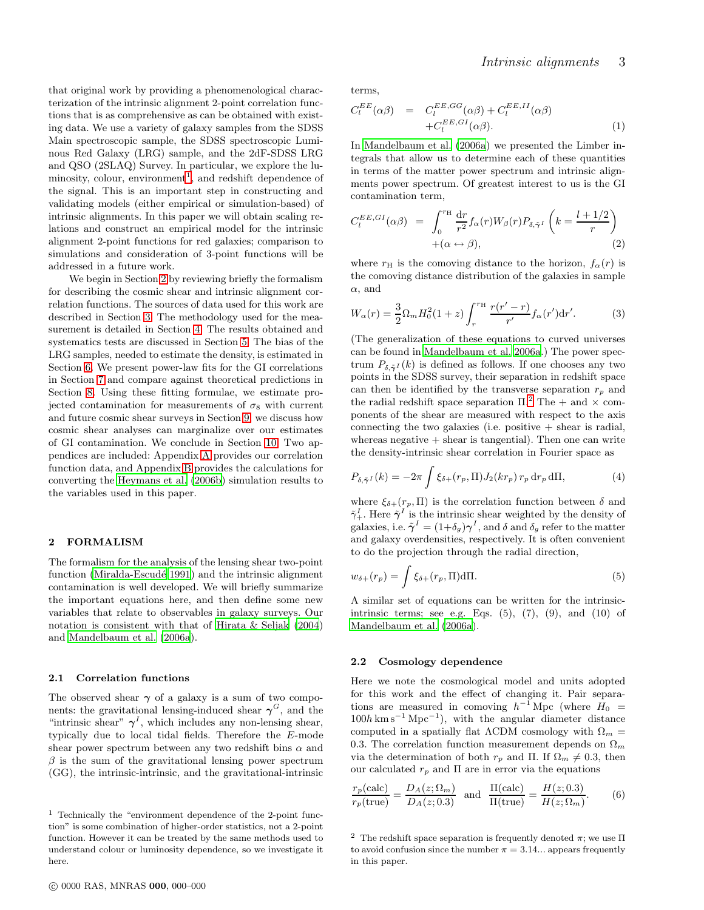that original work by providing a phenomenological characterization of the intrinsic alignment 2-point correlation functions that is as comprehensive as can be obtained with existing data. We use a variety of galaxy samples from the SDSS Main spectroscopic sample, the SDSS spectroscopic Luminous Red Galaxy (LRG) sample, and the 2dF-SDSS LRG and QSO (2SLAQ) Survey. In particular, we explore the lu-minosity, colour, environment<sup>[1](#page-2-0)</sup>, and redshift dependence of the signal. This is an important step in constructing and validating models (either empirical or simulation-based) of intrinsic alignments. In this paper we will obtain scaling relations and construct an empirical model for the intrinsic alignment 2-point functions for red galaxies; comparison to simulations and consideration of 3-point functions will be addressed in a future work.

We begin in Section [2](#page-2-1) by reviewing briefly the formalism for describing the cosmic shear and intrinsic alignment correlation functions. The sources of data used for this work are described in Section [3.](#page-3-0) The methodology used for the measurement is detailed in Section [4.](#page-5-0) The results obtained and systematics tests are discussed in Section [5.](#page-5-1) The bias of the LRG samples, needed to estimate the density, is estimated in Section [6.](#page-9-0) We present power-law fits for the GI correlations in Section [7](#page-10-0) and compare against theoretical predictions in Section [8.](#page-13-0) Using these fitting formulae, we estimate projected contamination for measurements of  $\sigma_8$  with current and future cosmic shear surveys in Section [9;](#page-15-0) we discuss how cosmic shear analyses can marginalize over our estimates of GI contamination. We conclude in Section [10.](#page-18-0) Two appendices are included: Appendix [A](#page-21-7) provides our correlation function data, and Appendix [B](#page-21-8) provides the calculations for converting the [Heymans et al. \(2006b\)](#page-20-38) simulation results to the variables used in this paper.

#### <span id="page-2-1"></span>2 FORMALISM

The formalism for the analysis of the lensing shear two-point function (Miralda-Escudé 1991) and the intrinsic alignment contamination is well developed. We will briefly summarize the important equations here, and then define some new variables that relate to observables in galaxy surveys. Our notation is consistent with that of [Hirata & Seljak \(2004](#page-20-35)) and [Mandelbaum et al. \(2006a](#page-20-39)).

#### 2.1 Correlation functions

The observed shear  $\gamma$  of a galaxy is a sum of two components: the gravitational lensing-induced shear  $\gamma^G$ , and the "intrinsic shear"  $\gamma^I$ , which includes any non-lensing shear, typically due to local tidal fields. Therefore the E-mode shear power spectrum between any two redshift bins  $\alpha$  and  $\beta$  is the sum of the gravitational lensing power spectrum (GG), the intrinsic-intrinsic, and the gravitational-intrinsic

terms,

$$
C_l^{EE}(\alpha \beta) = C_l^{EE,GG}(\alpha \beta) + C_l^{EE,II}(\alpha \beta)
$$
  
+
$$
C_l^{EE,GI}(\alpha \beta).
$$
 (1)

In [Mandelbaum et al. \(2006a\)](#page-20-39) we presented the Limber integrals that allow us to determine each of these quantities in terms of the matter power spectrum and intrinsic alignments power spectrum. Of greatest interest to us is the GI contamination term,

$$
C_l^{EE,GI}(\alpha\beta) = \int_0^{r_{\rm H}} \frac{\mathrm{d}r}{r^2} f_\alpha(r) W_\beta(r) P_{\delta,\tilde{\gamma}^I} \left( k = \frac{l+1/2}{r} \right) + (\alpha \leftrightarrow \beta), \tag{2}
$$

where  $r_H$  is the comoving distance to the horizon,  $f_\alpha(r)$  is the comoving distance distribution of the galaxies in sample  $\alpha$ , and

$$
W_{\alpha}(r) = \frac{3}{2} \Omega_m H_0^2 (1+z) \int_r^{r_{\rm H}} \frac{r(r'-r)}{r'} f_{\alpha}(r') dr'.
$$
 (3)

(The generalization of these equations to curved universes can be found in [Mandelbaum et al. 2006a](#page-20-39).) The power spectrum  $P_{\delta,\tilde{\gamma}^I}(k)$  is defined as follows. If one chooses any two points in the SDSS survey, their separation in redshift space can then be identified by the transverse separation  $r_p$  and the radial redshift space separation  $\Pi$ .<sup>[2](#page-2-2)</sup> The + and  $\times$  components of the shear are measured with respect to the axis connecting the two galaxies (i.e. positive  $+$  shear is radial, whereas negative  $+$  shear is tangential). Then one can write the density-intrinsic shear correlation in Fourier space as

$$
P_{\delta,\tilde{\gamma}^I}(k) = -2\pi \int \xi_{\delta+}(r_p, \Pi) J_2(kr_p) \, r_p \, \mathrm{d}r_p \, \mathrm{d}\Pi,\tag{4}
$$

where  $\xi_{\delta+}(r_p, \Pi)$  is the correlation function between  $\delta$  and  $\tilde{\gamma}^I_+$ . Here  $\tilde{\gamma}^I$  is the intrinsic shear weighted by the density of galaxies, i.e.  $\tilde{\boldsymbol{\gamma}}^I = (1+\delta_g)\boldsymbol{\gamma}^I$ , and  $\delta$  and  $\delta_g$  refer to the matter and galaxy overdensities, respectively. It is often convenient to do the projection through the radial direction,

$$
w_{\delta+}(r_p) = \int \xi_{\delta+}(r_p, \Pi) \, d\Pi. \tag{5}
$$

A similar set of equations can be written for the intrinsicintrinsic terms; see e.g. Eqs.  $(5)$ ,  $(7)$ ,  $(9)$ , and  $(10)$  of [Mandelbaum et al. \(2006a\)](#page-20-39).

### 2.2 Cosmology dependence

Here we note the cosmological model and units adopted for this work and the effect of changing it. Pair separations are measured in comoving  $h^{-1}$  Mpc (where  $H_0 =$  $100h \text{ km s}^{-1} \text{ Mpc}^{-1}$ , with the angular diameter distance computed in a spatially flat  $\Lambda$ CDM cosmology with  $\Omega_m =$ 0.3. The correlation function measurement depends on  $\Omega_m$ via the determination of both  $r_p$  and Π. If  $\Omega_m \neq 0.3$ , then our calculated  $r_p$  and  $\Pi$  are in error via the equations

$$
\frac{r_p(\text{calc})}{r_p(\text{true})} = \frac{D_A(z; \Omega_m)}{D_A(z; 0.3)} \quad \text{and} \quad \frac{\Pi(\text{calc})}{\Pi(\text{true})} = \frac{H(z; 0.3)}{H(z; \Omega_m)}.\tag{6}
$$

<span id="page-2-0"></span><sup>1</sup> Technically the "environment dependence of the 2-point function" is some combination of higher-order statistics, not a 2-point function. However it can be treated by the same methods used to understand colour or luminosity dependence, so we investigate it here.

<span id="page-2-2"></span><sup>&</sup>lt;sup>2</sup> The redshift space separation is frequently denoted  $\pi$ ; we use  $\Pi$ to avoid confusion since the number  $\pi = 3.14...$  appears frequently in this paper.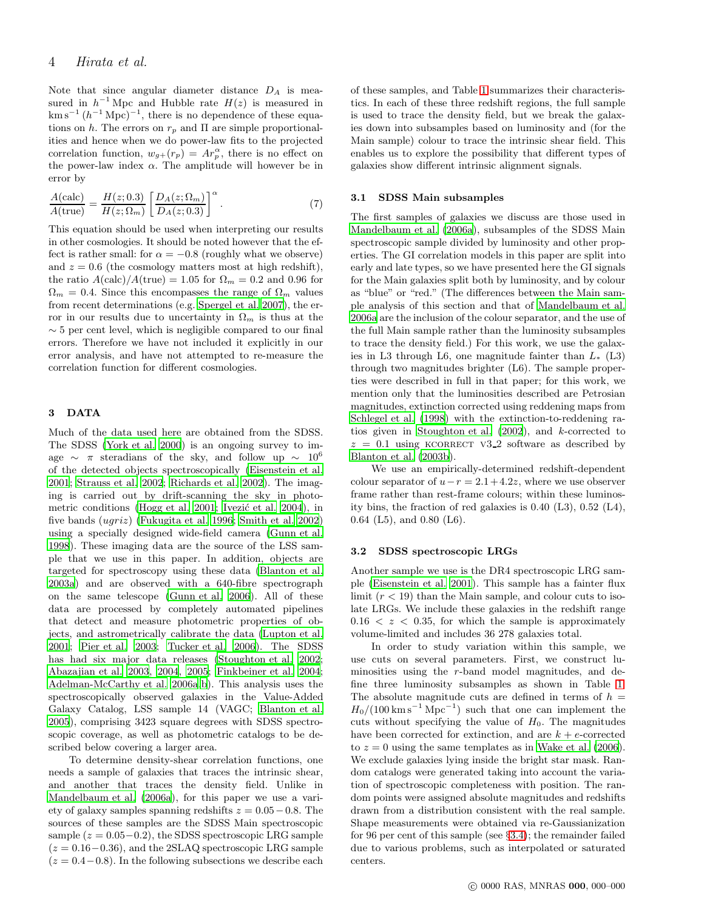# 4 Hirata et al.

Note that since angular diameter distance  $D_A$  is measured in  $h^{-1}$  Mpc and Hubble rate  $H(z)$  is measured in  $\mathrm{km\,s}^{-1}\,(h^{-1}\,\mathrm{Mpc})^{-1}$ , there is no dependence of these equations on h. The errors on  $r_p$  and  $\Pi$  are simple proportionalities and hence when we do power-law fits to the projected correlation function,  $w_{g+}(r_p) = Ar_p^{\alpha}$ , there is no effect on the power-law index  $\alpha$ . The amplitude will however be in error by

$$
\frac{A(\text{calc})}{A(\text{true})} = \frac{H(z; 0.3)}{H(z; \Omega_m)} \left[ \frac{D_A(z; \Omega_m)}{D_A(z; 0.3)} \right]^\alpha.
$$
\n(7)

This equation should be used when interpreting our results in other cosmologies. It should be noted however that the effect is rather small: for  $\alpha = -0.8$  (roughly what we observe) and  $z = 0.6$  (the cosmology matters most at high redshift), the ratio  $A(\text{calc})/A(\text{true}) = 1.05$  for  $\Omega_m = 0.2$  and 0.96 for  $\Omega_m = 0.4$ . Since this encompasses the range of  $\Omega_m$  values from recent determinations (e.g. [Spergel et al. 2007](#page-20-47)), the error in our results due to uncertainty in  $\Omega_m$  is thus at the  $\sim$  5 per cent level, which is negligible compared to our final errors. Therefore we have not included it explicitly in our error analysis, and have not attempted to re-measure the correlation function for different cosmologies.

## <span id="page-3-0"></span>3 DATA

Much of the data used here are obtained from the SDSS. The SDSS [\(York et al. 2000\)](#page-21-9) is an ongoing survey to image  $\sim \pi$  steradians of the sky, and follow up  $\sim 10^6$ of the detected objects spectroscopically [\(Eisenstein et al.](#page-20-48) [2001](#page-20-48); [Strauss et al. 2002;](#page-20-49) [Richards et al. 2002](#page-20-50)). The imaging is carried out by drift-scanning the sky in photo-metric conditions [\(Hogg et al. 2001](#page-20-51); Ivezić et al. 2004), in five bands (ugriz) [\(Fukugita et al. 1996;](#page-20-53) [Smith et al. 2002](#page-20-54)) using a specially designed wide-field camera [\(Gunn et al.](#page-20-55) [1998](#page-20-55)). These imaging data are the source of the LSS sample that we use in this paper. In addition, objects are targeted for spectroscopy using these data [\(Blanton et al.](#page-19-9) [2003a](#page-19-9)) and are observed with a 640-fibre spectrograph on the same telescope [\(Gunn et al. 2006\)](#page-20-56). All of these data are processed by completely automated pipelines that detect and measure photometric properties of objects, and astrometrically calibrate the data [\(Lupton et al.](#page-20-57) [2001](#page-20-57); [Pier et al. 2003](#page-20-58); [Tucker et al. 2006](#page-20-59)). The SDSS has had six major data releases [\(Stoughton et al. 2002;](#page-20-60) [Abazajian et al. 2003,](#page-19-10) [2004](#page-19-11), [2005](#page-19-12); [Finkbeiner et al. 2004;](#page-20-61) [Adelman-McCarthy et al. 2006a](#page-19-13)[,b](#page-19-14)). This analysis uses the spectroscopically observed galaxies in the Value-Added Galaxy Catalog, LSS sample 14 (VAGC; [Blanton et al.](#page-19-15) [2005](#page-19-15)), comprising 3423 square degrees with SDSS spectroscopic coverage, as well as photometric catalogs to be described below covering a larger area.

To determine density-shear correlation functions, one needs a sample of galaxies that traces the intrinsic shear, and another that traces the density field. Unlike in [Mandelbaum et al. \(2006a](#page-20-39)), for this paper we use a variety of galaxy samples spanning redshifts  $z = 0.05 - 0.8$ . The sources of these samples are the SDSS Main spectroscopic sample  $(z = 0.05-0.2)$ , the SDSS spectroscopic LRG sample  $(z = 0.16 - 0.36)$ , and the 2SLAQ spectroscopic LRG sample  $(z = 0.4 - 0.8)$ . In the following subsections we describe each

of these samples, and Table [1](#page-4-0) summarizes their characteristics. In each of these three redshift regions, the full sample is used to trace the density field, but we break the galaxies down into subsamples based on luminosity and (for the Main sample) colour to trace the intrinsic shear field. This enables us to explore the possibility that different types of galaxies show different intrinsic alignment signals.

#### <span id="page-3-1"></span>3.1 SDSS Main subsamples

The first samples of galaxies we discuss are those used in [Mandelbaum et al. \(2006a](#page-20-39)), subsamples of the SDSS Main spectroscopic sample divided by luminosity and other properties. The GI correlation models in this paper are split into early and late types, so we have presented here the GI signals for the Main galaxies split both by luminosity, and by colour as "blue" or "red." (The differences between the Main sample analysis of this section and that of [Mandelbaum et al.](#page-20-39) [2006a](#page-20-39) are the inclusion of the colour separator, and the use of the full Main sample rather than the luminosity subsamples to trace the density field.) For this work, we use the galaxies in L3 through L6, one magnitude fainter than  $L_{*}$  (L3) through two magnitudes brighter (L6). The sample properties were described in full in that paper; for this work, we mention only that the luminosities described are Petrosian magnitudes, extinction corrected using reddening maps from [Schlegel et al. \(1998](#page-20-62)) with the extinction-to-reddening ratios given in [Stoughton et al. \(2002](#page-20-60)), and k-corrected to  $z = 0.1$  using KCORRECT V3\_2 software as described by [Blanton et al. \(2003b\)](#page-19-16).

We use an empirically-determined redshift-dependent colour separator of  $u-r = 2.1+4.2z$ , where we use observer frame rather than rest-frame colours; within these luminosity bins, the fraction of red galaxies is 0.40 (L3), 0.52 (L4), 0.64 (L5), and 0.80 (L6).

#### <span id="page-3-2"></span>3.2 SDSS spectroscopic LRGs

Another sample we use is the DR4 spectroscopic LRG sample [\(Eisenstein et al. 2001\)](#page-20-48). This sample has a fainter flux limit  $(r < 19)$  than the Main sample, and colour cuts to isolate LRGs. We include these galaxies in the redshift range  $0.16 < z < 0.35$ , for which the sample is approximately volume-limited and includes 36 278 galaxies total.

In order to study variation within this sample, we use cuts on several parameters. First, we construct luminosities using the r-band model magnitudes, and define three luminosity subsamples as shown in Table [1.](#page-4-0) The absolute magnitude cuts are defined in terms of  $h =$  $H_0/(100 \text{ km s}^{-1} \text{ Mpc}^{-1})$  such that one can implement the cuts without specifying the value of  $H_0$ . The magnitudes have been corrected for extinction, and are  $k + e$ -corrected to  $z = 0$  using the same templates as in [Wake et al. \(2006](#page-21-10)). We exclude galaxies lying inside the bright star mask. Random catalogs were generated taking into account the variation of spectroscopic completeness with position. The random points were assigned absolute magnitudes and redshifts drawn from a distribution consistent with the real sample. Shape measurements were obtained via re-Gaussianization for 96 per cent of this sample (see §[3.4\)](#page-5-2); the remainder failed due to various problems, such as interpolated or saturated centers.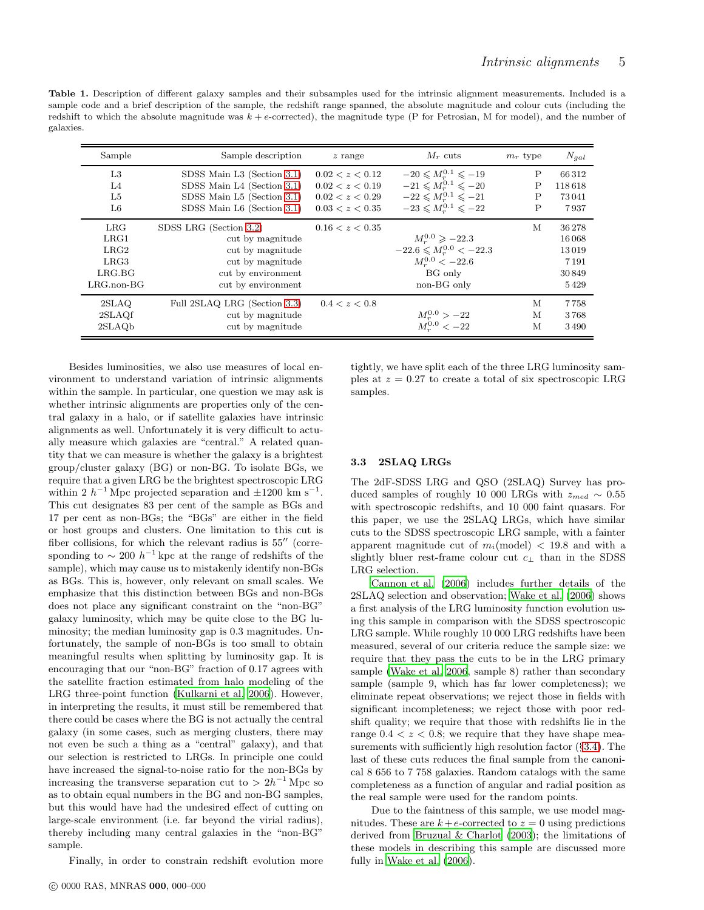<span id="page-4-0"></span>Table 1. Description of different galaxy samples and their subsamples used for the intrinsic alignment measurements. Included is a sample code and a brief description of the sample, the redshift range spanned, the absolute magnitude and colour cuts (including the redshift to which the absolute magnitude was  $k + e$ -corrected), the magnitude type (P for Petrosian, M for model), and the number of galaxies.

| Sample           | Sample description           | $z$ range       | $M_r$ cuts                              | $m_r$ type | $N_{gal}$ |
|------------------|------------------------------|-----------------|-----------------------------------------|------------|-----------|
| L3               | SDSS Main L3 (Section 3.1)   | 0.02 < z < 0.12 | $-20 \leq M_{\odot}^{0.1} \leq -19$     | P          | 66312     |
| L4               | SDSS Main L4 (Section 3.1)   | 0.02 < z < 0.19 | $-21 \leq M_{\rm s}^{0.1} \leq -20$     | P          | 118618    |
| L5               | SDSS Main L5 (Section 3.1)   | 0.02 < z < 0.29 | $-22 \leqslant M_r^{0.1} \leqslant -21$ | P          | 73041     |
| L6               | SDSS Main L6 (Section 3.1)   | 0.03 < z < 0.35 | $-23 \leqslant M_r^{0.1} \leqslant -22$ | P          | 7937      |
| LRG              | SDSS LRG (Section 3.2)       | 0.16 < z < 0.35 |                                         | M          | 36278     |
| LRG1             | cut by magnitude             |                 | $M_{\odot}^{0.0} \ge -22.3$             |            | 16 068    |
| LRG2             | cut by magnitude             |                 | $-22.6 \leqslant M_r^{0.0} < -22.3$     |            | 13019     |
| LRG3             | cut by magnitude             |                 | $M_r^{0.0} < -22.6$                     |            | 7191      |
| LRG.BG           | cut by environment           |                 | BG only                                 |            | 30849     |
| $LRG$ .non- $BG$ | cut by environment           |                 | non-BG only                             |            | 5429      |
| 2SLAQ            | Full 2SLAQ LRG (Section 3.3) | 0.4 < z < 0.8   |                                         | M          | 7758      |
| 2SLAQf           | cut by magnitude             |                 | $M_r^{0.0} > -22$                       | M          | 3768      |
| 2SLAQb           | cut by magnitude             |                 | $M_r^{0.0} < -22$                       | M          | 3490      |

Besides luminosities, we also use measures of local environment to understand variation of intrinsic alignments within the sample. In particular, one question we may ask is whether intrinsic alignments are properties only of the central galaxy in a halo, or if satellite galaxies have intrinsic alignments as well. Unfortunately it is very difficult to actually measure which galaxies are "central." A related quantity that we can measure is whether the galaxy is a brightest group/cluster galaxy (BG) or non-BG. To isolate BGs, we require that a given LRG be the brightest spectroscopic LRG within 2  $h^{-1}$  Mpc projected separation and  $\pm 1200$  km s<sup>-1</sup>. This cut designates 83 per cent of the sample as BGs and 17 per cent as non-BGs; the "BGs" are either in the field or host groups and clusters. One limitation to this cut is fiber collisions, for which the relevant radius is 55′′ (corresponding to  $\sim 200 h^{-1}$  kpc at the range of redshifts of the sample), which may cause us to mistakenly identify non-BGs as BGs. This is, however, only relevant on small scales. We emphasize that this distinction between BGs and non-BGs does not place any significant constraint on the "non-BG" galaxy luminosity, which may be quite close to the BG luminosity; the median luminosity gap is 0.3 magnitudes. Unfortunately, the sample of non-BGs is too small to obtain meaningful results when splitting by luminosity gap. It is encouraging that our "non-BG" fraction of 0.17 agrees with the satellite fraction estimated from halo modeling of the LRG three-point function [\(Kulkarni et al. 2006](#page-20-63)). However, in interpreting the results, it must still be remembered that there could be cases where the BG is not actually the central galaxy (in some cases, such as merging clusters, there may not even be such a thing as a "central" galaxy), and that our selection is restricted to LRGs. In principle one could have increased the signal-to-noise ratio for the non-BGs by increasing the transverse separation cut to  $> 2h^{-1}$  Mpc so as to obtain equal numbers in the BG and non-BG samples, but this would have had the undesired effect of cutting on large-scale environment (i.e. far beyond the virial radius), thereby including many central galaxies in the "non-BG" sample.

Finally, in order to constrain redshift evolution more

tightly, we have split each of the three LRG luminosity samples at  $z = 0.27$  to create a total of six spectroscopic LRG samples.

# <span id="page-4-1"></span>3.3 2SLAQ LRGs

The 2dF-SDSS LRG and QSO (2SLAQ) Survey has produced samples of roughly 10 000 LRGs with  $z_{med} \sim 0.55$ with spectroscopic redshifts, and 10 000 faint quasars. For this paper, we use the 2SLAQ LRGs, which have similar cuts to the SDSS spectroscopic LRG sample, with a fainter apparent magnitude cut of  $m_i$ (model) < 19.8 and with a slightly bluer rest-frame colour cut  $c_{\perp}$  than in the SDSS LRG selection.

[Cannon et al. \(2006](#page-20-64)) includes further details of the 2SLAQ selection and observation; [Wake et al. \(2006](#page-21-10)) shows a first analysis of the LRG luminosity function evolution using this sample in comparison with the SDSS spectroscopic LRG sample. While roughly 10 000 LRG redshifts have been measured, several of our criteria reduce the sample size: we require that they pass the cuts to be in the LRG primary sample [\(Wake et al. 2006,](#page-21-10) sample 8) rather than secondary sample (sample 9, which has far lower completeness); we eliminate repeat observations; we reject those in fields with significant incompleteness; we reject those with poor redshift quality; we require that those with redshifts lie in the range  $0.4 < z < 0.8$ ; we require that they have shape measurements with sufficiently high resolution factor (§[3.4\)](#page-5-2). The last of these cuts reduces the final sample from the canonical 8 656 to 7 758 galaxies. Random catalogs with the same completeness as a function of angular and radial position as the real sample were used for the random points.

Due to the faintness of this sample, we use model magnitudes. These are  $k+e$ -corrected to  $z=0$  using predictions derived from [Bruzual & Charlot \(2003\)](#page-19-17); the limitations of these models in describing this sample are discussed more fully in [Wake et al. \(2006](#page-21-10)).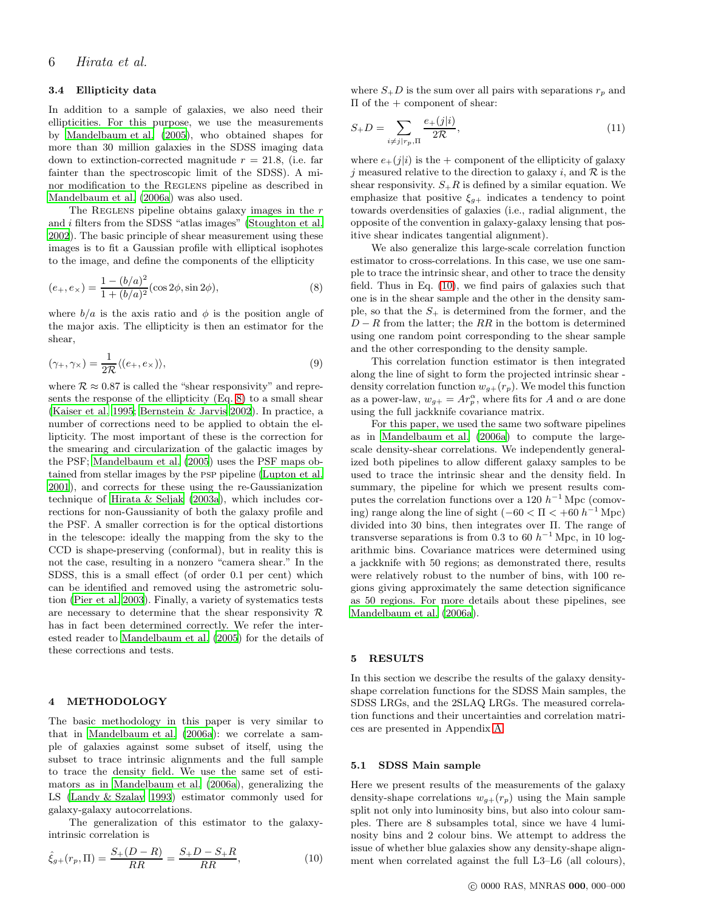#### <span id="page-5-2"></span>3.4 Ellipticity data

In addition to a sample of galaxies, we also need their ellipticities. For this purpose, we use the measurements by [Mandelbaum et al. \(2005\)](#page-20-21), who obtained shapes for more than 30 million galaxies in the SDSS imaging data down to extinction-corrected magnitude  $r = 21.8$ , (i.e. far fainter than the spectroscopic limit of the SDSS). A minor modification to the REGLENS pipeline as described in [Mandelbaum et al. \(2006a\)](#page-20-39) was also used.

The REGLENS pipeline obtains galaxy images in the  $r$ and i filters from the SDSS "atlas images" [\(Stoughton et al.](#page-20-60) [2002](#page-20-60)). The basic principle of shear measurement using these images is to fit a Gaussian profile with elliptical isophotes to the image, and define the components of the ellipticity

<span id="page-5-3"></span>
$$
(e_+, e_\times) = \frac{1 - (b/a)^2}{1 + (b/a)^2} (\cos 2\phi, \sin 2\phi),\tag{8}
$$

where  $b/a$  is the axis ratio and  $\phi$  is the position angle of the major axis. The ellipticity is then an estimator for the shear,

$$
(\gamma_+, \gamma_\times) = \frac{1}{2\mathcal{R}} \langle (e_+, e_\times) \rangle, \tag{9}
$$

where  $\mathcal{R} \approx 0.87$  is called the "shear responsivity" and represents the response of the ellipticity (Eq. [8\)](#page-5-3) to a small shear [\(Kaiser et al. 1995](#page-20-65); [Bernstein & Jarvis 2002\)](#page-19-2). In practice, a number of corrections need to be applied to obtain the ellipticity. The most important of these is the correction for the smearing and circularization of the galactic images by the PSF; [Mandelbaum et al. \(2005](#page-20-21)) uses the PSF maps obtained from stellar images by the psp pipeline [\(Lupton et al.](#page-20-57) [2001](#page-20-57)), and corrects for these using the re-Gaussianization technique of [Hirata & Seljak \(2003a\)](#page-20-16), which includes corrections for non-Gaussianity of both the galaxy profile and the PSF. A smaller correction is for the optical distortions in the telescope: ideally the mapping from the sky to the CCD is shape-preserving (conformal), but in reality this is not the case, resulting in a nonzero "camera shear." In the SDSS, this is a small effect (of order 0.1 per cent) which can be identified and removed using the astrometric solution [\(Pier et al. 2003](#page-20-58)). Finally, a variety of systematics tests are necessary to determine that the shear responsivity  $\mathcal R$ has in fact been determined correctly. We refer the interested reader to [Mandelbaum et al. \(2005](#page-20-21)) for the details of these corrections and tests.

## <span id="page-5-0"></span>4 METHODOLOGY

The basic methodology in this paper is very similar to that in [Mandelbaum et al. \(2006a](#page-20-39)): we correlate a sample of galaxies against some subset of itself, using the subset to trace intrinsic alignments and the full sample to trace the density field. We use the same set of estimators as in [Mandelbaum et al. \(2006a\)](#page-20-39), generalizing the LS [\(Landy & Szalay 1993](#page-20-66)) estimator commonly used for galaxy-galaxy autocorrelations.

The generalization of this estimator to the galaxyintrinsic correlation is

<span id="page-5-4"></span>
$$
\hat{\xi}_{g+}(r_p, \Pi) = \frac{S_+(D-R)}{RR} = \frac{S_+D-S_+R}{RR},\tag{10}
$$

where  $S_{+}D$  is the sum over all pairs with separations  $r_p$  and Π of the + component of shear:

$$
S_{+}D = \sum_{i \neq j \mid r_{p}, \Pi} \frac{e_{+}(j|i)}{2\mathcal{R}},
$$
\n(11)

where  $e_+(j|i)$  is the + component of the ellipticity of galaxy i measured relative to the direction to galaxy i, and  $\mathcal R$  is the shear responsivity.  $S_{+}R$  is defined by a similar equation. We emphasize that positive  $\xi_{g+}$  indicates a tendency to point towards overdensities of galaxies (i.e., radial alignment, the opposite of the convention in galaxy-galaxy lensing that positive shear indicates tangential alignment).

We also generalize this large-scale correlation function estimator to cross-correlations. In this case, we use one sample to trace the intrinsic shear, and other to trace the density field. Thus in Eq. [\(10\)](#page-5-4), we find pairs of galaxies such that one is in the shear sample and the other in the density sample, so that the  $S_{+}$  is determined from the former, and the  $D - R$  from the latter; the RR in the bottom is determined using one random point corresponding to the shear sample and the other corresponding to the density sample.

This correlation function estimator is then integrated along the line of sight to form the projected intrinsic shear density correlation function  $w_{g+}(r_p)$ . We model this function as a power-law,  $w_{g+} = Ar_p^{\alpha}$ , where fits for A and  $\alpha$  are done using the full jackknife covariance matrix.

For this paper, we used the same two software pipelines as in [Mandelbaum et al. \(2006a](#page-20-39)) to compute the largescale density-shear correlations. We independently generalized both pipelines to allow different galaxy samples to be used to trace the intrinsic shear and the density field. In summary, the pipeline for which we present results computes the correlation functions over a 120  $h^{-1}$  Mpc (comoving) range along the line of sight  $(-60 < \Pi < +60 h^{-1} \text{ Mpc})$ divided into 30 bins, then integrates over Π. The range of transverse separations is from 0.3 to 60  $h^{-1}$  Mpc, in 10 logarithmic bins. Covariance matrices were determined using a jackknife with 50 regions; as demonstrated there, results were relatively robust to the number of bins, with 100 regions giving approximately the same detection significance as 50 regions. For more details about these pipelines, see [Mandelbaum et al. \(2006a\)](#page-20-39).

## <span id="page-5-1"></span>5 RESULTS

In this section we describe the results of the galaxy densityshape correlation functions for the SDSS Main samples, the SDSS LRGs, and the 2SLAQ LRGs. The measured correlation functions and their uncertainties and correlation matrices are presented in Appendix [A.](#page-21-7)

### <span id="page-5-5"></span>5.1 SDSS Main sample

Here we present results of the measurements of the galaxy density-shape correlations  $w_{g+}(r_p)$  using the Main sample split not only into luminosity bins, but also into colour samples. There are 8 subsamples total, since we have 4 luminosity bins and 2 colour bins. We attempt to address the issue of whether blue galaxies show any density-shape alignment when correlated against the full L3–L6 (all colours),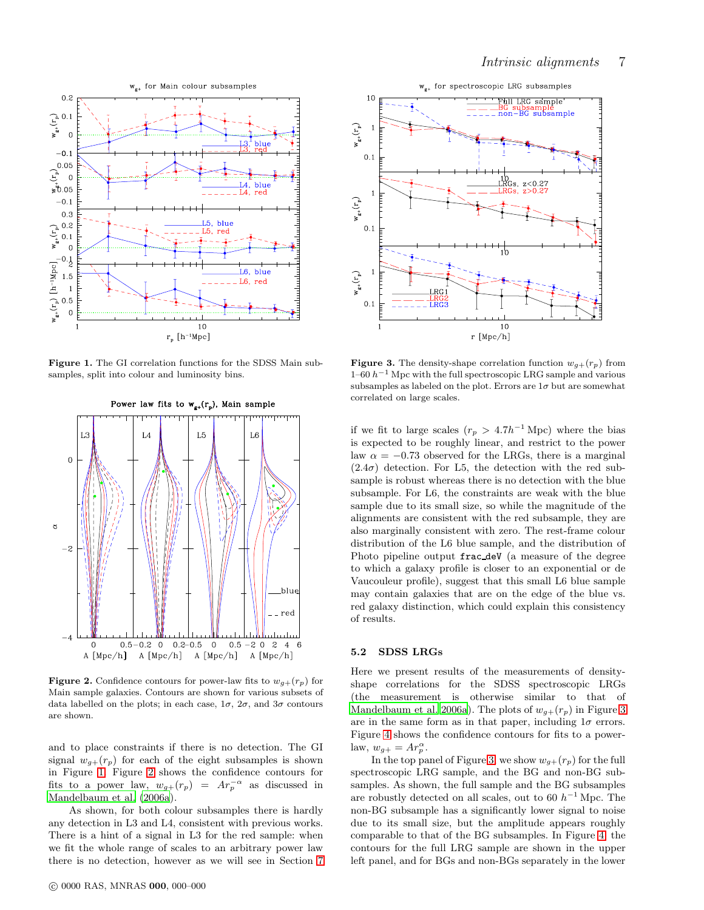

<span id="page-6-0"></span>Figure 1. The GI correlation functions for the SDSS Main subsamples, split into colour and luminosity bins.



<span id="page-6-1"></span>**Figure 2.** Confidence contours for power-law fits to  $w_{g+}(r_p)$  for Main sample galaxies. Contours are shown for various subsets of data labelled on the plots; in each case,  $1\sigma$ ,  $2\sigma$ , and  $3\sigma$  contours are shown.

and to place constraints if there is no detection. The GI signal  $w_{g+}(r_p)$  for each of the eight subsamples is shown in Figure [1.](#page-6-0) Figure [2](#page-6-1) shows the confidence contours for fits to a power law,  $w_{g+}(r_p) = Ar_p^{-\alpha}$  as discussed in [Mandelbaum et al. \(2006a\)](#page-20-39).

As shown, for both colour subsamples there is hardly any detection in L3 and L4, consistent with previous works. There is a hint of a signal in L3 for the red sample: when we fit the whole range of scales to an arbitrary power law there is no detection, however as we will see in Section [7](#page-10-0)



<span id="page-6-2"></span>**Figure 3.** The density-shape correlation function  $w_{q+}(r_p)$  from  $1-60 h^{-1}$  Mpc with the full spectroscopic LRG sample and various subsamples as labeled on the plot. Errors are  $1\sigma$  but are somewhat correlated on large scales.

if we fit to large scales  $(r_p > 4.7h^{-1}$  Mpc) where the bias is expected to be roughly linear, and restrict to the power law  $\alpha = -0.73$  observed for the LRGs, there is a marginal  $(2.4\sigma)$  detection. For L5, the detection with the red subsample is robust whereas there is no detection with the blue subsample. For L6, the constraints are weak with the blue sample due to its small size, so while the magnitude of the alignments are consistent with the red subsample, they are also marginally consistent with zero. The rest-frame colour distribution of the L6 blue sample, and the distribution of Photo pipeline output frac deV (a measure of the degree to which a galaxy profile is closer to an exponential or de Vaucouleur profile), suggest that this small L6 blue sample may contain galaxies that are on the edge of the blue vs. red galaxy distinction, which could explain this consistency of results.

### 5.2 SDSS LRGs

Here we present results of the measurements of densityshape correlations for the SDSS spectroscopic LRGs (the measurement is otherwise similar to that of [Mandelbaum et al. 2006a\)](#page-20-39). The plots of  $w_{g+}(r_p)$  in Figure [3](#page-6-2) are in the same form as in that paper, including  $1\sigma$  errors. Figure [4](#page-7-0) shows the confidence contours for fits to a powerlaw,  $w_{g+} = Ar_p^{\alpha}$ .

In the top panel of Figure [3,](#page-6-2) we show  $w_{g+}(r_p)$  for the full spectroscopic LRG sample, and the BG and non-BG subsamples. As shown, the full sample and the BG subsamples are robustly detected on all scales, out to 60  $h^{-1}$  Mpc. The non-BG subsample has a significantly lower signal to noise due to its small size, but the amplitude appears roughly comparable to that of the BG subsamples. In Figure [4,](#page-7-0) the contours for the full LRG sample are shown in the upper left panel, and for BGs and non-BGs separately in the lower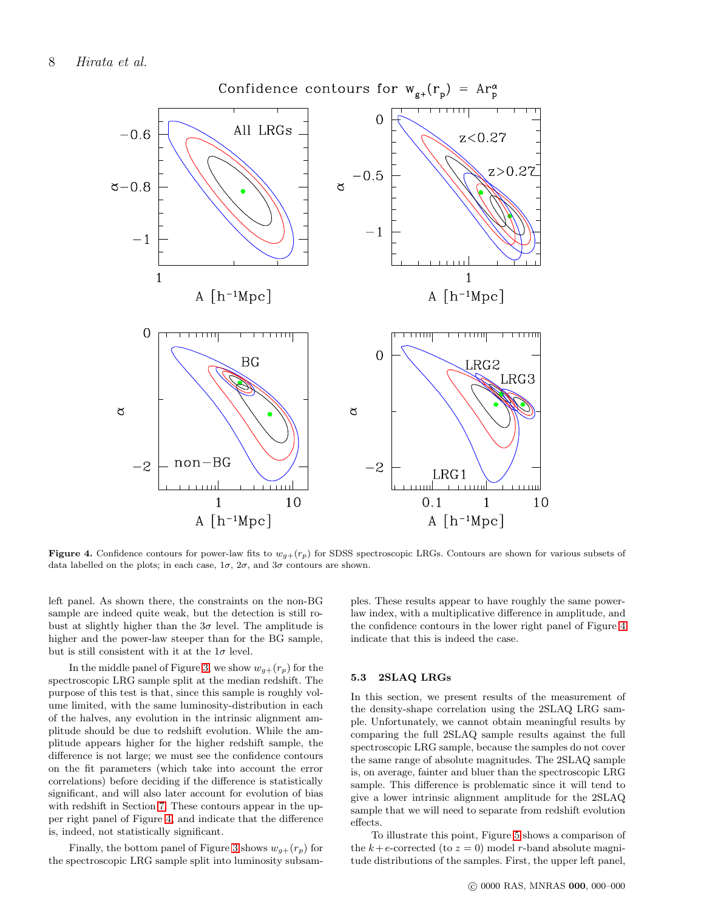

<span id="page-7-0"></span>Figure 4. Confidence contours for power-law fits to  $w_{g+}(r_p)$  for SDSS spectroscopic LRGs. Contours are shown for various subsets of data labelled on the plots; in each case,  $1\sigma$ ,  $2\sigma$ , and  $3\sigma$  contours are shown.

left panel. As shown there, the constraints on the non-BG sample are indeed quite weak, but the detection is still robust at slightly higher than the  $3\sigma$  level. The amplitude is higher and the power-law steeper than for the BG sample, but is still consistent with it at the  $1\sigma$  level.

In the middle panel of Figure [3,](#page-6-2) we show  $w_{g+}(r_p)$  for the spectroscopic LRG sample split at the median redshift. The purpose of this test is that, since this sample is roughly volume limited, with the same luminosity-distribution in each of the halves, any evolution in the intrinsic alignment amplitude should be due to redshift evolution. While the amplitude appears higher for the higher redshift sample, the difference is not large; we must see the confidence contours on the fit parameters (which take into account the error correlations) before deciding if the difference is statistically significant, and will also later account for evolution of bias with redshift in Section [7.](#page-10-0) These contours appear in the upper right panel of Figure [4,](#page-7-0) and indicate that the difference is, indeed, not statistically significant.

Finally, the bottom panel of Figure [3](#page-6-2) shows  $w_{q+}(r_p)$  for the spectroscopic LRG sample split into luminosity subsamples. These results appear to have roughly the same powerlaw index, with a multiplicative difference in amplitude, and the confidence contours in the lower right panel of Figure [4](#page-7-0) indicate that this is indeed the case.

## 5.3 2SLAQ LRGs

In this section, we present results of the measurement of the density-shape correlation using the 2SLAQ LRG sample. Unfortunately, we cannot obtain meaningful results by comparing the full 2SLAQ sample results against the full spectroscopic LRG sample, because the samples do not cover the same range of absolute magnitudes. The 2SLAQ sample is, on average, fainter and bluer than the spectroscopic LRG sample. This difference is problematic since it will tend to give a lower intrinsic alignment amplitude for the 2SLAQ sample that we will need to separate from redshift evolution effects.

To illustrate this point, Figure [5](#page-8-0) shows a comparison of the  $k+e$ -corrected (to  $z=0$ ) model r-band absolute magnitude distributions of the samples. First, the upper left panel,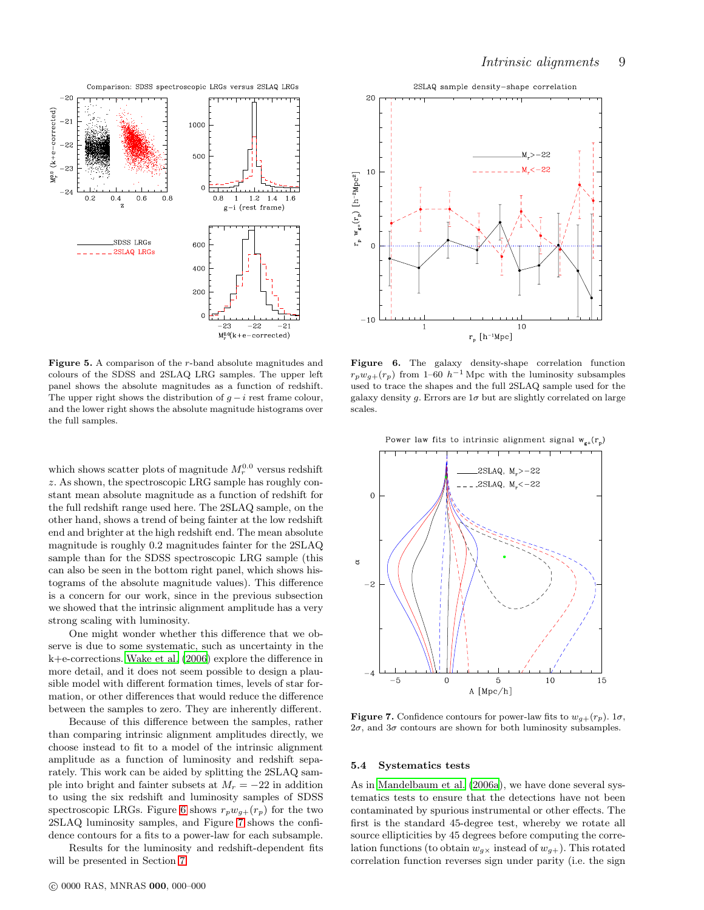

<span id="page-8-0"></span>Figure 5. A comparison of the r-band absolute magnitudes and colours of the SDSS and 2SLAQ LRG samples. The upper left panel shows the absolute magnitudes as a function of redshift. The upper right shows the distribution of  $q - i$  rest frame colour, and the lower right shows the absolute magnitude histograms over the full samples.

which shows scatter plots of magnitude  $M_r^{0.0}$  versus redshift z. As shown, the spectroscopic LRG sample has roughly constant mean absolute magnitude as a function of redshift for the full redshift range used here. The 2SLAQ sample, on the other hand, shows a trend of being fainter at the low redshift end and brighter at the high redshift end. The mean absolute magnitude is roughly 0.2 magnitudes fainter for the 2SLAQ sample than for the SDSS spectroscopic LRG sample (this can also be seen in the bottom right panel, which shows histograms of the absolute magnitude values). This difference is a concern for our work, since in the previous subsection we showed that the intrinsic alignment amplitude has a very strong scaling with luminosity.

One might wonder whether this difference that we observe is due to some systematic, such as uncertainty in the k+e-corrections. [Wake et al. \(2006\)](#page-21-10) explore the difference in more detail, and it does not seem possible to design a plausible model with different formation times, levels of star formation, or other differences that would reduce the difference between the samples to zero. They are inherently different.

Because of this difference between the samples, rather than comparing intrinsic alignment amplitudes directly, we choose instead to fit to a model of the intrinsic alignment amplitude as a function of luminosity and redshift separately. This work can be aided by splitting the 2SLAQ sample into bright and fainter subsets at  $M_r = -22$  in addition to using the six redshift and luminosity samples of SDSS spectroscopic LRGs. Figure [6](#page-8-1) shows  $r_p w_{q+}(r_p)$  for the two 2SLAQ luminosity samples, and Figure [7](#page-8-2) shows the confidence contours for a fits to a power-law for each subsample.

Results for the luminosity and redshift-dependent fits will be presented in Section [7.](#page-10-0)



<span id="page-8-1"></span>Figure 6. The galaxy density-shape correlation function  $r_p w_{q+}(r_p)$  from 1–60  $h^{-1}$  Mpc with the luminosity subsamples used to trace the shapes and the full 2SLAQ sample used for the galaxy density g. Errors are  $1\sigma$  but are slightly correlated on large scales.



<span id="page-8-2"></span>**Figure 7.** Confidence contours for power-law fits to  $w_{g+}(r_p)$ . 1 $\sigma$ ,  $2\sigma$ , and  $3\sigma$  contours are shown for both luminosity subsamples.

#### 5.4 Systematics tests

As in [Mandelbaum et al. \(2006a](#page-20-39)), we have done several systematics tests to ensure that the detections have not been contaminated by spurious instrumental or other effects. The first is the standard 45-degree test, whereby we rotate all source ellipticities by 45 degrees before computing the correlation functions (to obtain  $w_{q\chi}$  instead of  $w_{q+}$ ). This rotated correlation function reverses sign under parity (i.e. the sign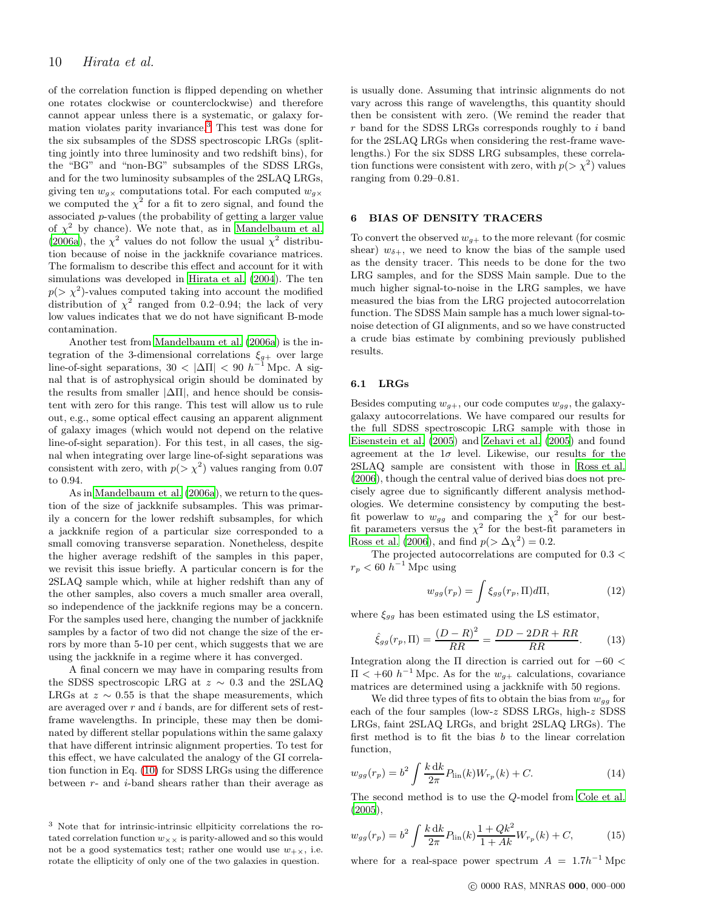of the correlation function is flipped depending on whether one rotates clockwise or counterclockwise) and therefore cannot appear unless there is a systematic, or galaxy formation violates parity invariance.[3](#page-9-1) This test was done for the six subsamples of the SDSS spectroscopic LRGs (splitting jointly into three luminosity and two redshift bins), for the "BG" and "non-BG" subsamples of the SDSS LRGs, and for the two luminosity subsamples of the 2SLAQ LRGs, giving ten  $w_{g\times}$  computations total. For each computed  $w_{g\times}$ we computed the  $\chi^2$  for a fit to zero signal, and found the associated p-values (the probability of getting a larger value of  $\chi^2$  by chance). We note that, as in [Mandelbaum et al.](#page-20-39) [\(2006a\)](#page-20-39), the  $\chi^2$  values do not follow the usual  $\chi^2$  distribution because of noise in the jackknife covariance matrices. The formalism to describe this effect and account for it with simulations was developed in [Hirata et al. \(2004](#page-20-43)). The ten  $p(>\chi^2)$ -values computed taking into account the modified distribution of  $\chi^2$  ranged from 0.2–0.94; the lack of very low values indicates that we do not have significant B-mode contamination.

Another test from [Mandelbaum et al. \(2006a\)](#page-20-39) is the integration of the 3-dimensional correlations  $\xi_{g+}$  over large line-of-sight separations,  $30 < |\Delta \Pi| < 90$   $h^{-1}$  Mpc. A signal that is of astrophysical origin should be dominated by the results from smaller  $|\Delta \Pi|$ , and hence should be consistent with zero for this range. This test will allow us to rule out, e.g., some optical effect causing an apparent alignment of galaxy images (which would not depend on the relative line-of-sight separation). For this test, in all cases, the signal when integrating over large line-of-sight separations was consistent with zero, with  $p(>\chi^2)$  values ranging from 0.07 to 0.94.

As in [Mandelbaum et al. \(2006a](#page-20-39)), we return to the question of the size of jackknife subsamples. This was primarily a concern for the lower redshift subsamples, for which a jackknife region of a particular size corresponded to a small comoving transverse separation. Nonetheless, despite the higher average redshift of the samples in this paper, we revisit this issue briefly. A particular concern is for the 2SLAQ sample which, while at higher redshift than any of the other samples, also covers a much smaller area overall, so independence of the jackknife regions may be a concern. For the samples used here, changing the number of jackknife samples by a factor of two did not change the size of the errors by more than 5-10 per cent, which suggests that we are using the jackknife in a regime where it has converged.

A final concern we may have in comparing results from the SDSS spectroscopic LRG at  $z \sim 0.3$  and the 2SLAQ LRGs at  $z \sim 0.55$  is that the shape measurements, which are averaged over  $r$  and  $i$  bands, are for different sets of restframe wavelengths. In principle, these may then be dominated by different stellar populations within the same galaxy that have different intrinsic alignment properties. To test for this effect, we have calculated the analogy of the GI correlation function in Eq. [\(10\)](#page-5-4) for SDSS LRGs using the difference between  $r$ - and  $i$ -band shears rather than their average as is usually done. Assuming that intrinsic alignments do not vary across this range of wavelengths, this quantity should then be consistent with zero. (We remind the reader that  $r$  band for the SDSS LRGs corresponds roughly to  $i$  band for the 2SLAQ LRGs when considering the rest-frame wavelengths.) For the six SDSS LRG subsamples, these correlation functions were consistent with zero, with  $p(>\chi^2)$  values ranging from 0.29–0.81.

#### <span id="page-9-0"></span>6 BIAS OF DENSITY TRACERS

To convert the observed  $w_{g+}$  to the more relevant (for cosmic shear)  $w_{\delta+}$ , we need to know the bias of the sample used as the density tracer. This needs to be done for the two LRG samples, and for the SDSS Main sample. Due to the much higher signal-to-noise in the LRG samples, we have measured the bias from the LRG projected autocorrelation function. The SDSS Main sample has a much lower signal-tonoise detection of GI alignments, and so we have constructed a crude bias estimate by combining previously published results.

#### 6.1 LRGs

Besides computing  $w_{g+}$ , our code computes  $w_{gg}$ , the galaxygalaxy autocorrelations. We have compared our results for the full SDSS spectroscopic LRG sample with those in [Eisenstein et al. \(2005\)](#page-20-67) and [Zehavi et al. \(2005\)](#page-21-11) and found agreement at the  $1\sigma$  level. Likewise, our results for the 2SLAQ sample are consistent with those in [Ross et al.](#page-20-68) [\(2006](#page-20-68)), though the central value of derived bias does not precisely agree due to significantly different analysis methodologies. We determine consistency by computing the bestfit powerlaw to  $w_{gg}$  and comparing the  $\chi^2$  for our bestfit parameters versus the  $\chi^2$  for the best-fit parameters in [Ross et al. \(2006](#page-20-68)), and find  $p(>\Delta \chi^2) = 0.2$ .

The projected autocorrelations are computed for 0.3 <  $r_p < 60 h^{-1}$  Mpc using

$$
w_{gg}(r_p) = \int \xi_{gg}(r_p, \Pi) d\Pi,
$$
\n(12)

where  $\xi_{gg}$  has been estimated using the LS estimator,

<span id="page-9-3"></span>
$$
\hat{\xi}_{gg}(r_p, \Pi) = \frac{(D - R)^2}{RR} = \frac{DD - 2DR + RR}{RR}.
$$
 (13)

Integration along the  $\Pi$  direction is carried out for  $-60 <$  $\Pi < +60 h^{-1}$  Mpc. As for the  $w_{g+}$  calculations, covariance matrices are determined using a jackknife with 50 regions.

We did three types of fits to obtain the bias from  $w_{qq}$  for each of the four samples (low-z SDSS LRGs, high-z SDSS LRGs, faint 2SLAQ LRGs, and bright 2SLAQ LRGs). The first method is to fit the bias  $b$  to the linear correlation function,

<span id="page-9-2"></span>
$$
w_{gg}(r_p) = b^2 \int \frac{k \, dk}{2\pi} P_{lin}(k) W_{r_p}(k) + C.
$$
 (14)

The second method is to use the Q-model from [Cole et al.](#page-20-69)  $(2005),$  $(2005),$ 

$$
w_{gg}(r_p) = b^2 \int \frac{k \, dk}{2\pi} P_{\text{lin}}(k) \frac{1 + Qk^2}{1 + Ak} W_{r_p}(k) + C,\tag{15}
$$

where for a real-space power spectrum  $A = 1.7h^{-1}$  Mpc

<span id="page-9-1"></span><sup>3</sup> Note that for intrinsic-intrinsic ellpiticity correlations the rotated correlation function  $w_{\times\times}$  is parity-allowed and so this would not be a good systematics test; rather one would use  $w_{+\times}$ , i.e. rotate the ellipticity of only one of the two galaxies in question.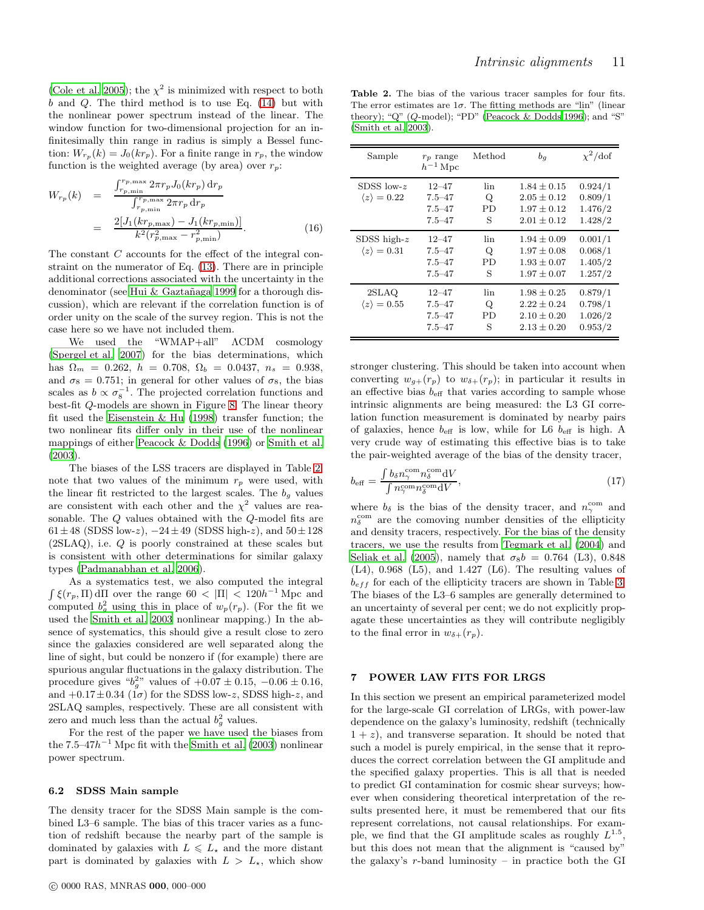[\(Cole et al. 2005](#page-20-69)); the  $\chi^2$  is minimized with respect to both  $b$  and  $Q$ . The third method is to use Eq. [\(14\)](#page-9-2) but with the nonlinear power spectrum instead of the linear. The window function for two-dimensional projection for an infinitesimally thin range in radius is simply a Bessel function:  $W_{r_p}(k) = J_0(kr_p)$ . For a finite range in  $r_p$ , the window function is the weighted average (by area) over  $r_p$ :

<span id="page-10-3"></span>
$$
W_{r_p}(k) = \frac{\int_{r_p, \min}^{r_p, \max} 2\pi r_p J_0(kr_p) dr_p}{\int_{r_p, \min}^{r_p, \max} 2\pi r_p dr_p}
$$
  
= 
$$
\frac{2[J_1(kr_{p, \max}) - J_1(kr_{p, \min})]}{k^2(r_{p, \max}^2 - r_{p, \min}^2)}.
$$
 (16)

The constant C accounts for the effect of the integral constraint on the numerator of Eq. [\(13\)](#page-9-3). There are in principle additional corrections associated with the uncertainty in the denominator (see Hui & Gaztañaga 1999 for a thorough discussion), which are relevant if the correlation function is of order unity on the scale of the survey region. This is not the case here so we have not included them.

We used the "WMAP+all" ΛCDM cosmology [\(Spergel et al. 2007\)](#page-20-47) for the bias determinations, which has  $\Omega_m = 0.262$ ,  $h = 0.708$ ,  $\Omega_b = 0.0437$ ,  $n_s = 0.938$ , and  $\sigma_8 = 0.751$ ; in general for other values of  $\sigma_8$ , the bias scales as  $b \propto \sigma_8^{-1}$ . The projected correlation functions and best-fit Q-models are shown in Figure [8.](#page-11-0) The linear theory fit used the [Eisenstein & Hu](#page-20-71) [\(1998\)](#page-20-71) transfer function; the two nonlinear fits differ only in their use of the nonlinear mappings of either [Peacock & Dodds \(1996\)](#page-20-72) or [Smith et al.](#page-20-73) [\(2003](#page-20-73)).

The biases of the LSS tracers are displayed in Table [2;](#page-10-1) note that two values of the minimum  $r_p$  were used, with the linear fit restricted to the largest scales. The  $b<sub>g</sub>$  values are consistent with each other and the  $\chi^2$  values are reasonable. The Q values obtained with the Q-model fits are  $61 \pm 48$  (SDSS low-z),  $-24 \pm 49$  (SDSS high-z), and  $50 \pm 128$ (2SLAQ), i.e. Q is poorly constrained at these scales but is consistent with other determinations for similar galaxy types [\(Padmanabhan et al. 2006\)](#page-20-74).

As a systematics test, we also computed the integral  $\int \xi(r_p, \Pi) d\Pi$  over the range  $60 < |\Pi| < 120h^{-1}$  Mpc and computed  $b_g^2$  using this in place of  $w_p(r_p)$ . (For the fit we used the [Smith et al. 2003](#page-20-73) nonlinear mapping.) In the absence of systematics, this should give a result close to zero since the galaxies considered are well separated along the line of sight, but could be nonzero if (for example) there are spurious angular fluctuations in the galaxy distribution. The procedure gives " $b_g^{2}$ " values of  $+0.07 \pm 0.15$ ,  $-0.06 \pm 0.16$ , and  $+0.17\pm0.34$  (1 $\sigma$ ) for the SDSS low-z, SDSS high-z, and 2SLAQ samples, respectively. These are all consistent with zero and much less than the actual  $b_g^2$  values.

For the rest of the paper we have used the biases from the  $7.5-47h^{-1}$  Mpc fit with the [Smith et al. \(2003\)](#page-20-73) nonlinear power spectrum.

#### 6.2 SDSS Main sample

The density tracer for the SDSS Main sample is the combined L3–6 sample. The bias of this tracer varies as a function of redshift because the nearby part of the sample is dominated by galaxies with  $L \le L_{\star}$  and the more distant part is dominated by galaxies with  $L > L_{\star}$ , which show

<span id="page-10-1"></span>Table 2. The bias of the various tracer samples for four fits. The error estimates are  $1\sigma$ . The fitting methods are "lin" (linear theory); "Q" (Q-model); "PD" [\(Peacock & Dodds 1996](#page-20-72)); and "S" [\(Smith et al. 2003\)](#page-20-73).

| Sample                                       | $r_p$ range<br>$h^{-1}$ Mpc                         | Method                     | $b_q$                                                                    | $\chi^2$ /dof                            |
|----------------------------------------------|-----------------------------------------------------|----------------------------|--------------------------------------------------------------------------|------------------------------------------|
| SDSS low- $z$<br>$\langle z \rangle = 0.22$  | $12 - 47$<br>$7.5 - 47$<br>$7.5 - 47$<br>$7.5 - 47$ | lin<br>Q<br><b>PD</b><br>S | $1.84 \pm 0.15$<br>$2.05 \pm 0.12$<br>$1.97 \pm 0.12$<br>$2.01 + 0.12$   | 0.924/1<br>0.809/1<br>1.476/2<br>1.428/2 |
| SDSS high- $z$<br>$\langle z \rangle = 0.31$ | $12 - 47$<br>$7.5 - 47$<br>$7.5 - 47$<br>$7.5 - 47$ | lin<br>Q<br>PD<br>S        | $1.94 \pm 0.09$<br>$1.97 \pm 0.08$<br>$1.93 \pm 0.07$<br>$1.97 \pm 0.07$ | 0.001/1<br>0.068/1<br>1.405/2<br>1.257/2 |
| 2SLAQ<br>$\langle z \rangle = 0.55$          | $12 - 47$<br>$7.5 - 47$<br>$7.5 - 47$<br>$7.5 - 47$ | lin<br>Q<br><b>PD</b><br>S | $1.98 \pm 0.25$<br>$2.22 \pm 0.24$<br>$2.10 \pm 0.20$<br>$2.13 \pm 0.20$ | 0.879/1<br>0.798/1<br>1.026/2<br>0.953/2 |

stronger clustering. This should be taken into account when converting  $w_{g+}(r_p)$  to  $w_{\delta+}(r_p)$ ; in particular it results in an effective bias  $b_{\text{eff}}$  that varies according to sample whose intrinsic alignments are being measured: the L3 GI correlation function measurement is dominated by nearby pairs of galaxies, hence  $b_{\text{eff}}$  is low, while for L6  $b_{\text{eff}}$  is high. A very crude way of estimating this effective bias is to take the pair-weighted average of the bias of the density tracer,

<span id="page-10-2"></span>
$$
b_{\text{eff}} = \frac{\int b_{\delta} n_{\gamma}^{\text{com}} n_{\delta}^{\text{com}} \, \text{d}V}{\int n_{\gamma}^{\text{com}} n_{\delta}^{\text{com}} \, \text{d}V},\tag{17}
$$

where  $b_{\delta}$  is the bias of the density tracer, and  $n_{\gamma}^{\text{com}}$  and  $n_{\delta}^{\text{com}}$  are the comoving number densities of the ellipticity and density tracers, respectively. For the bias of the density tracers, we use the results from [Tegmark et al. \(2004](#page-20-75)) and [Seljak et al. \(2005](#page-20-76)), namely that  $\sigma_8b = 0.764$  (L3), 0.848  $(L4)$ , 0.968  $(L5)$ , and 1.427  $(L6)$ . The resulting values of  $b_{eff}$  for each of the ellipticity tracers are shown in Table [3.](#page-11-1) The biases of the L3–6 samples are generally determined to an uncertainty of several per cent; we do not explicitly propagate these uncertainties as they will contribute negligibly to the final error in  $w_{\delta+}(r_p)$ .

### <span id="page-10-0"></span>7 POWER LAW FITS FOR LRGS

In this section we present an empirical parameterized model for the large-scale GI correlation of LRGs, with power-law dependence on the galaxy's luminosity, redshift (technically  $1 + z$ , and transverse separation. It should be noted that such a model is purely empirical, in the sense that it reproduces the correct correlation between the GI amplitude and the specified galaxy properties. This is all that is needed to predict GI contamination for cosmic shear surveys; however when considering theoretical interpretation of the results presented here, it must be remembered that our fits represent correlations, not causal relationships. For example, we find that the GI amplitude scales as roughly  $L^{1.5}$ , but this does not mean that the alignment is "caused by" the galaxy's  $r$ -band luminosity – in practice both the GI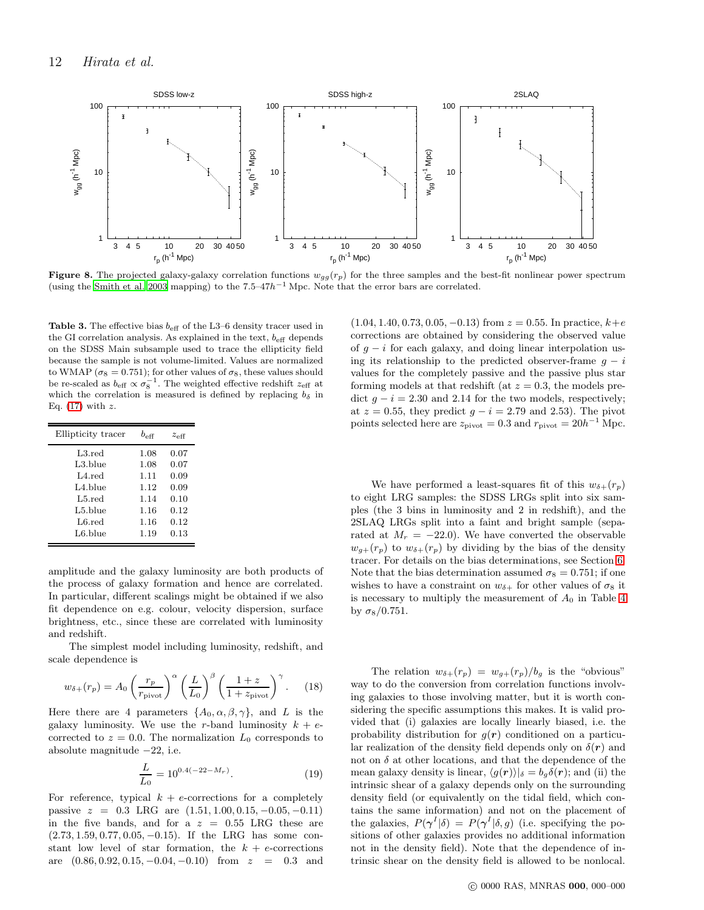

<span id="page-11-0"></span>Figure 8. The projected galaxy-galaxy correlation functions  $w_{gg}(r_p)$  for the three samples and the best-fit nonlinear power spectrum (using the [Smith et al. 2003](#page-20-73) mapping) to the  $7.5-47h^{-1}$  Mpc. Note that the error bars are correlated.

<span id="page-11-1"></span>**Table 3.** The effective bias  $b_{\text{eff}}$  of the L3–6 density tracer used in the GI correlation analysis. As explained in the text,  $b_{\text{eff}}$  depends on the SDSS Main subsample used to trace the ellipticity field because the sample is not volume-limited. Values are normalized to WMAP ( $\sigma_8 = 0.751$ ); for other values of  $\sigma_8$ , these values should be re-scaled as  $b_{\text{eff}} \propto \sigma_8^{-1}$ . The weighted effective redshift  $z_{\text{eff}}$  at which the correlation is measured is defined by replacing  $b_{\delta}$  in Eq.  $(17)$  with z.

| Ellipticity tracer | $b_{\alpha}$ ff | $z_{\text{eff}}$ |
|--------------------|-----------------|------------------|
| L3.read            | 1.08            | 0.07             |
| L3.blue            | 1.08            | 0.07             |
| $1.4$ red          | 1.11            | 0.09             |
| $1.4.$ blue        | 1.12            | 0.09             |
| $L5.$ red          | 1.14            | 0.10             |
| L5.blue            | 1.16            | 0.12             |
| L6.red             | 1.16            | 0.12             |
| L6.blue            | 1.19            | 0.13             |

amplitude and the galaxy luminosity are both products of the process of galaxy formation and hence are correlated. In particular, different scalings might be obtained if we also fit dependence on e.g. colour, velocity dispersion, surface brightness, etc., since these are correlated with luminosity and redshift.

The simplest model including luminosity, redshift, and scale dependence is

<span id="page-11-2"></span>
$$
w_{\delta+}(r_p) = A_0 \left(\frac{r_p}{r_{\text{pivot}}}\right)^{\alpha} \left(\frac{L}{L_0}\right)^{\beta} \left(\frac{1+z}{1+z_{\text{pivot}}}\right)^{\gamma}.
$$
 (18)

Here there are 4 parameters  $\{A_0, \alpha, \beta, \gamma\}$ , and L is the galaxy luminosity. We use the r-band luminosity  $k + e$ corrected to  $z = 0.0$ . The normalization  $L_0$  corresponds to absolute magnitude −22, i.e.

$$
\frac{L}{L_0} = 10^{0.4(-22 - M_r)}.\t(19)
$$

For reference, typical  $k + e$ -corrections for a completely passive  $z = 0.3$  LRG are  $(1.51, 1.00, 0.15, -0.05, -0.11)$ in the five bands, and for a  $z = 0.55$  LRG these are (2.73, 1.59, 0.77, 0.05, −0.15). If the LRG has some constant low level of star formation, the  $k + e$ -corrections are  $(0.86, 0.92, 0.15, -0.04, -0.10)$  from  $z = 0.3$  and

 $(1.04, 1.40, 0.73, 0.05, -0.13)$  from  $z = 0.55$ . In practice,  $k + e$ corrections are obtained by considering the observed value of  $g - i$  for each galaxy, and doing linear interpolation using its relationship to the predicted observer-frame  $g - i$ values for the completely passive and the passive plus star forming models at that redshift (at  $z = 0.3$ , the models predict  $g - i = 2.30$  and 2.14 for the two models, respectively; at  $z = 0.55$ , they predict  $g - i = 2.79$  and 2.53). The pivot points selected here are  $z_{\text{pivot}} = 0.3$  and  $r_{\text{pivot}} = 20h^{-1}$  Mpc.

We have performed a least-squares fit of this  $w_{\delta+}(r_p)$ to eight LRG samples: the SDSS LRGs split into six samples (the 3 bins in luminosity and 2 in redshift), and the 2SLAQ LRGs split into a faint and bright sample (separated at  $M_r = -22.0$ ). We have converted the observable  $w_{g+}(r_p)$  to  $w_{\delta+}(r_p)$  by dividing by the bias of the density tracer. For details on the bias determinations, see Section [6.](#page-9-0) Note that the bias determination assumed  $\sigma_8 = 0.751$ ; if one wishes to have a constraint on  $w_{\delta+}$  for other values of  $\sigma_8$  it is necessary to multiply the measurement of  $A_0$  in Table [4](#page-14-0) by  $\sigma_8/0.751$ .

The relation  $w_{\delta+}(r_p) = w_{g+}(r_p)/b_g$  is the "obvious" way to do the conversion from correlation functions involving galaxies to those involving matter, but it is worth considering the specific assumptions this makes. It is valid provided that (i) galaxies are locally linearly biased, i.e. the probability distribution for  $g(r)$  conditioned on a particular realization of the density field depends only on  $\delta(\mathbf{r})$  and not on  $\delta$  at other locations, and that the dependence of the mean galaxy density is linear,  $\langle g(\mathbf{r}) \rangle |_{\delta} = b_q \delta(\mathbf{r});$  and (ii) the intrinsic shear of a galaxy depends only on the surrounding density field (or equivalently on the tidal field, which contains the same information) and not on the placement of the galaxies,  $P(\gamma^I|\delta) = P(\gamma^I|\delta, g)$  (i.e. specifying the positions of other galaxies provides no additional information not in the density field). Note that the dependence of intrinsic shear on the density field is allowed to be nonlocal.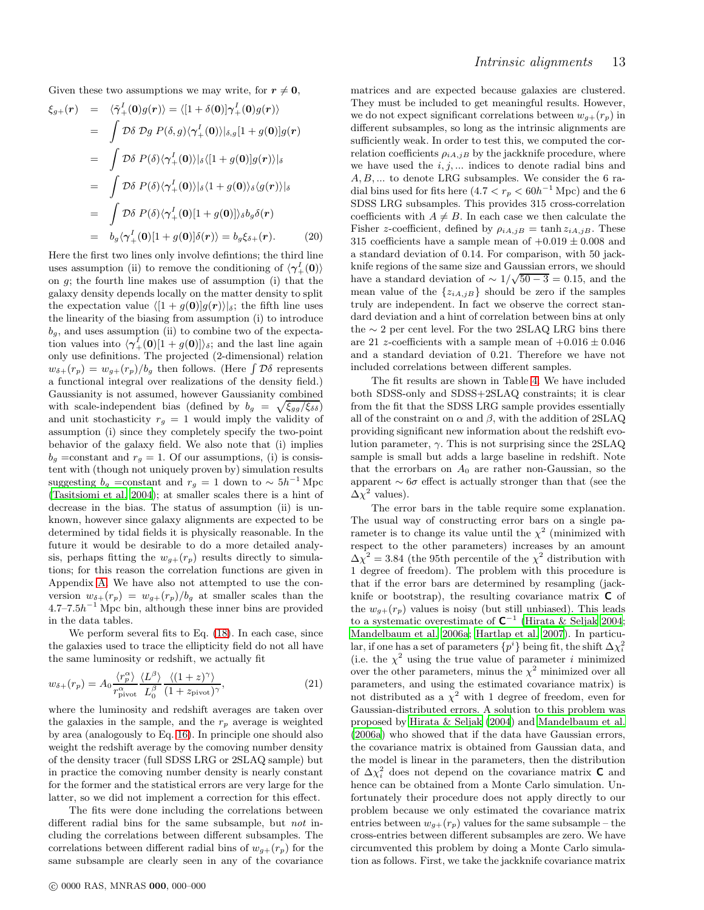Given these two assumptions we may write, for  $r \neq 0$ ,

$$
\xi_{g+}(\mathbf{r}) = \langle \tilde{\gamma}^I_+(\mathbf{0})g(\mathbf{r}) \rangle = \langle [1 + \delta(\mathbf{0})]\gamma^I_+(\mathbf{0})g(\mathbf{r}) \rangle
$$
  
\n
$$
= \int \mathcal{D}\delta \mathcal{D}g \ P(\delta, g) \langle \gamma^I_+(\mathbf{0}) \rangle |_{\delta,g} [1 + g(\mathbf{0})]g(\mathbf{r})
$$
  
\n
$$
= \int \mathcal{D}\delta \ P(\delta) \langle \gamma^I_+(\mathbf{0}) \rangle |_{\delta} \langle [1 + g(\mathbf{0})]g(\mathbf{r}) \rangle |_{\delta}
$$
  
\n
$$
= \int \mathcal{D}\delta \ P(\delta) \langle \gamma^I_+(\mathbf{0}) \rangle |_{\delta} \langle 1 + g(\mathbf{0}) \rangle_{\delta} \langle g(\mathbf{r}) \rangle |_{\delta}
$$
  
\n
$$
= \int \mathcal{D}\delta \ P(\delta) \langle \gamma^I_+(\mathbf{0})[1 + g(\mathbf{0})] \rangle_{\delta} b_g \delta(\mathbf{r})
$$
  
\n
$$
= b_g \langle \gamma^I_+(\mathbf{0})[1 + g(\mathbf{0})] \delta(\mathbf{r}) \rangle = b_g \xi_{\delta+}(\mathbf{r}).
$$
 (20)

Here the first two lines only involve defintions; the third line uses assumption (ii) to remove the conditioning of  $\langle \gamma_+^I(0) \rangle$ on g; the fourth line makes use of assumption (i) that the galaxy density depends locally on the matter density to split the expectation value  $\langle [1 + q(0)]q(r)\rangle|_{\delta}$ ; the fifth line uses the linearity of the biasing from assumption (i) to introduce  $b_q$ , and uses assumption (ii) to combine two of the expectation values into  $\langle \gamma_+^I(0)[1 + g(0)] \rangle_{\delta}$ ; and the last line again only use definitions. The projected (2-dimensional) relation  $w_{\delta+}(r_p) = w_{g+}(r_p)/b_g$  then follows. (Here  $\int \mathcal{D}\delta$  represents) a functional integral over realizations of the density field.) Gaussianity is not assumed, however Gaussianity combined with scale-independent bias (defined by  $b_g = \sqrt{\xi_{gg}/\xi_{\delta\delta}}$ ) and unit stochasticity  $r_g = 1$  would imply the validity of assumption (i) since they completely specify the two-point behavior of the galaxy field. We also note that (i) implies  $b_q$  =constant and  $r_q = 1$ . Of our assumptions, (i) is consistent with (though not uniquely proven by) simulation results suggesting  $b_g$  =constant and  $r_g = 1$  down to ~  $5h^{-1}$  Mpc [\(Tasitsiomi et al. 2004](#page-20-77)); at smaller scales there is a hint of decrease in the bias. The status of assumption (ii) is unknown, however since galaxy alignments are expected to be determined by tidal fields it is physically reasonable. In the future it would be desirable to do a more detailed analysis, perhaps fitting the  $w_{q+}(r_p)$  results directly to simulations; for this reason the correlation functions are given in Appendix [A.](#page-21-7) We have also not attempted to use the conversion  $w_{\delta+}(r_p) = w_{g+}(r_p)/b_g$  at smaller scales than the  $4.7$ – $7.5h^{-1}$  Mpc bin, although these inner bins are provided in the data tables.

We perform several fits to Eq. [\(18\)](#page-11-2). In each case, since the galaxies used to trace the ellipticity field do not all have the same luminosity or redshift, we actually fit

$$
w_{\delta+}(r_p) = A_0 \frac{\langle r_p^{\alpha} \rangle}{r_{\text{pivot}}^{\alpha}} \frac{\langle L^{\beta} \rangle}{L_0^{\beta}} \frac{\langle (1+z)^{\gamma} \rangle}{(1+z_{\text{pivot}})^{\gamma}}, \tag{21}
$$

where the luminosity and redshift averages are taken over the galaxies in the sample, and the  $r_p$  average is weighted by area (analogously to Eq. [16\)](#page-10-3). In principle one should also weight the redshift average by the comoving number density of the density tracer (full SDSS LRG or 2SLAQ sample) but in practice the comoving number density is nearly constant for the former and the statistical errors are very large for the latter, so we did not implement a correction for this effect.

The fits were done including the correlations between different radial bins for the same subsample, but not including the correlations between different subsamples. The correlations between different radial bins of  $w_{q+}(r_p)$  for the same subsample are clearly seen in any of the covariance matrices and are expected because galaxies are clustered. They must be included to get meaningful results. However, we do not expect significant correlations between  $w_{q+}(r_p)$  in different subsamples, so long as the intrinsic alignments are sufficiently weak. In order to test this, we computed the correlation coefficients  $\rho_{iA,jB}$  by the jackknife procedure, where we have used the  $i, j, \ldots$  indices to denote radial bins and A, B, ... to denote LRG subsamples. We consider the 6 radial bins used for fits here  $(4.7 < r_p < 60h^{-1}$  Mpc) and the 6 SDSS LRG subsamples. This provides 315 cross-correlation coefficients with  $A \neq B$ . In each case we then calculate the Fisher z-coefficient, defined by  $\rho_{iA,jB} = \tanh z_{iA,jB}$ . These 315 coefficients have a sample mean of  $+0.019 \pm 0.008$  and a standard deviation of 0.14. For comparison, with 50 jackknife regions of the same size and Gaussian errors, we should have a standard deviation of  $\sim 1/\sqrt{50-3} = 0.15$ , and the mean value of the  $\{z_{iA,jB}\}$  should be zero if the samples truly are independent. In fact we observe the correct standard deviation and a hint of correlation between bins at only the  $\sim$  2 per cent level. For the two 2SLAQ LRG bins there are 21 *z*-coefficients with a sample mean of  $+0.016 \pm 0.046$ and a standard deviation of 0.21. Therefore we have not included correlations between different samples.

The fit results are shown in Table [4.](#page-14-0) We have included both SDSS-only and SDSS+2SLAQ constraints; it is clear from the fit that the SDSS LRG sample provides essentially all of the constraint on  $\alpha$  and  $\beta$ , with the addition of 2SLAQ providing significant new information about the redshift evolution parameter,  $\gamma$ . This is not surprising since the 2SLAQ sample is small but adds a large baseline in redshift. Note that the errorbars on  $A_0$  are rather non-Gaussian, so the apparent  $\sim 6\sigma$  effect is actually stronger than that (see the  $\Delta \chi^2$  values).

The error bars in the table require some explanation. The usual way of constructing error bars on a single parameter is to change its value until the  $\chi^2$  (minimized with respect to the other parameters) increases by an amount  $\Delta \chi^2 = 3.84$  (the 95th percentile of the  $\chi^2$  distribution with 1 degree of freedom). The problem with this procedure is that if the error bars are determined by resampling (jackknife or bootstrap), the resulting covariance matrix  $C$  of the  $w_{q+}(r_p)$  values is noisy (but still unbiased). This leads to a systematic overestimate of  $C^{-1}$  [\(Hirata & Seljak 2004](#page-20-35); [Mandelbaum et al. 2006a;](#page-20-39) [Hartlap et al. 2007](#page-20-78)). In particular, if one has a set of parameters  $\{p^i\}$  being fit, the shift  $\Delta \chi_i^2$ (i.e. the  $\chi^2$  using the true value of parameter *i* minimized over the other parameters, minus the  $\chi^2$  minimized over all parameters, and using the estimated covariance matrix) is not distributed as a  $\chi^2$  with 1 degree of freedom, even for Gaussian-distributed errors. A solution to this problem was proposed by [Hirata & Seljak \(2004](#page-20-35)) and [Mandelbaum et al.](#page-20-39) [\(2006a\)](#page-20-39) who showed that if the data have Gaussian errors, the covariance matrix is obtained from Gaussian data, and the model is linear in the parameters, then the distribution of  $\Delta\chi^2_i$  does not depend on the covariance matrix **C** and hence can be obtained from a Monte Carlo simulation. Unfortunately their procedure does not apply directly to our problem because we only estimated the covariance matrix entries between  $w_{g+}(r_p)$  values for the same subsample – the cross-entries between different subsamples are zero. We have circumvented this problem by doing a Monte Carlo simulation as follows. First, we take the jackknife covariance matrix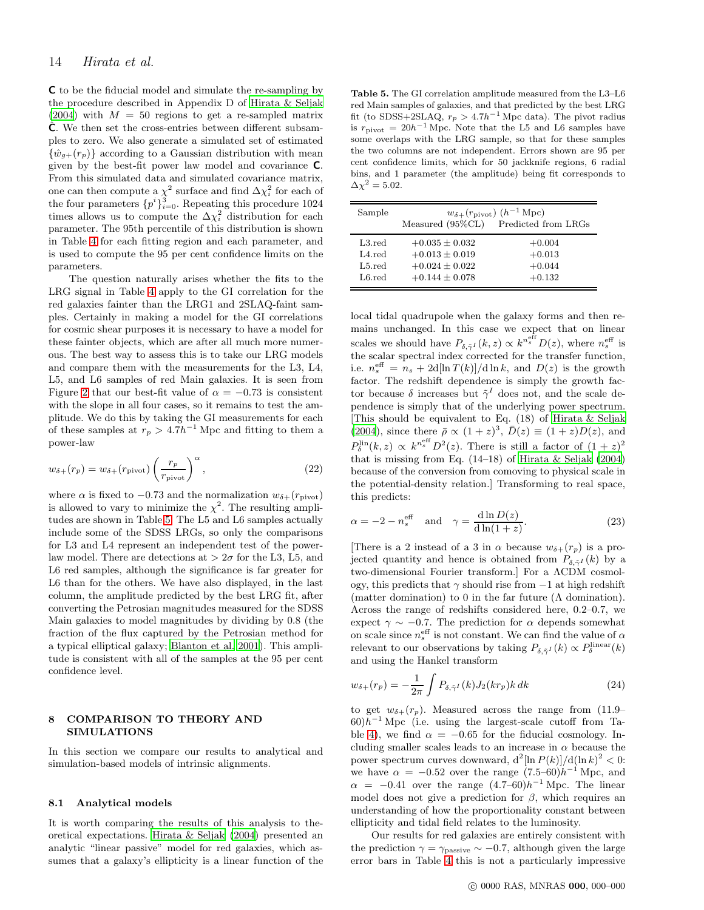C to be the fiducial model and simulate the re-sampling by the procedure described in Appendix D of [Hirata & Seljak](#page-20-35)  $(2004)$  $(2004)$  with  $M = 50$  regions to get a re-sampled matrix  $\hat{\mathsf{C}}$ . We then set the cross-entries between different subsamples to zero. We also generate a simulated set of estimated  $\{\hat{w}_{q+}(r_p)\}\$ according to a Gaussian distribution with mean given by the best-fit power law model and covariance C. From this simulated data and simulated covariance matrix, one can then compute a  $\chi^2$  surface and find  $\Delta \chi^2_i$  for each of the four parameters  $\{p^i\}_{i=0}^3$ . Repeating this procedure 1024 times allows us to compute the  $\Delta\chi_i^2$  distribution for each parameter. The 95th percentile of this distribution is shown in Table [4](#page-14-0) for each fitting region and each parameter, and is used to compute the 95 per cent confidence limits on the parameters.

The question naturally arises whether the fits to the LRG signal in Table [4](#page-14-0) apply to the GI correlation for the red galaxies fainter than the LRG1 and 2SLAQ-faint samples. Certainly in making a model for the GI correlations for cosmic shear purposes it is necessary to have a model for these fainter objects, which are after all much more numerous. The best way to assess this is to take our LRG models and compare them with the measurements for the L3, L4, L5, and L6 samples of red Main galaxies. It is seen from Figure [2](#page-6-1) that our best-fit value of  $\alpha = -0.73$  is consistent with the slope in all four cases, so it remains to test the amplitude. We do this by taking the GI measurements for each of these samples at  $r_p > 4.7h^{-1}$  Mpc and fitting to them a power-law

$$
w_{\delta+}(r_p) = w_{\delta+}(r_{\text{pivot}}) \left(\frac{r_p}{r_{\text{pivot}}}\right)^{\alpha},\tag{22}
$$

where  $\alpha$  is fixed to -0.73 and the normalization  $w_{\delta+}(r_{\text{pivot}})$ is allowed to vary to minimize the  $\chi^2$ . The resulting amplitudes are shown in Table [5.](#page-13-1) The L5 and L6 samples actually include some of the SDSS LRGs, so only the comparisons for L3 and L4 represent an independent test of the powerlaw model. There are detections at  $> 2\sigma$  for the L3, L5, and L6 red samples, although the significance is far greater for L6 than for the others. We have also displayed, in the last column, the amplitude predicted by the best LRG fit, after converting the Petrosian magnitudes measured for the SDSS Main galaxies to model magnitudes by dividing by 0.8 (the fraction of the flux captured by the Petrosian method for a typical elliptical galaxy; [Blanton et al. 2001](#page-19-18)). This amplitude is consistent with all of the samples at the 95 per cent confidence level.

### <span id="page-13-0"></span>8 COMPARISON TO THEORY AND SIMULATIONS

In this section we compare our results to analytical and simulation-based models of intrinsic alignments.

#### 8.1 Analytical models

It is worth comparing the results of this analysis to theoretical expectations. [Hirata & Seljak \(2004\)](#page-20-35) presented an analytic "linear passive" model for red galaxies, which assumes that a galaxy's ellipticity is a linear function of the

<span id="page-13-1"></span>Table 5. The GI correlation amplitude measured from the L3–L6 red Main samples of galaxies, and that predicted by the best LRG fit (to SDSS+2SLAQ,  $r_p > 4.7h^{-1}$  Mpc data). The pivot radius is  $r_{\text{pivot}} = 20h^{-1}$  Mpc. Note that the L5 and L6 samples have some overlaps with the LRG sample, so that for these samples the two columns are not independent. Errors shown are 95 per cent confidence limits, which for 50 jackknife regions, 6 radial bins, and 1 parameter (the amplitude) being fit corresponds to  $\Delta \chi^2 = 5.02$ .

| Sample           | $w_{\delta+}(r_{\text{pivot}})$ $(h^{-1} \text{ Mpc})$ |                     |  |  |  |  |  |  |  |
|------------------|--------------------------------------------------------|---------------------|--|--|--|--|--|--|--|
|                  | Measured (95%CL)                                       | Predicted from LRGs |  |  |  |  |  |  |  |
| $L3.$ red        | $+0.035 \pm 0.032$                                     | $+0.004$            |  |  |  |  |  |  |  |
| $L4. \text{red}$ | $+0.013 \pm 0.019$                                     | $+0.013$            |  |  |  |  |  |  |  |
| $L5.$ red        | $+0.024 \pm 0.022$                                     | $+0.044$            |  |  |  |  |  |  |  |
| L6.read          | $+0.144 \pm 0.078$                                     | $+0.132$            |  |  |  |  |  |  |  |

local tidal quadrupole when the galaxy forms and then remains unchanged. In this case we expect that on linear scales we should have  $P_{\delta,\tilde{\gamma}^I}(k,z) \propto k^{n_{s}^{\text{eff}}} D(z)$ , where  $n_{s}^{\text{eff}}$  is the scalar spectral index corrected for the transfer function, i.e.  $n_s^{\text{eff}} = n_s + 2d[\ln T(k)]/d\ln k$ , and  $D(z)$  is the growth factor. The redshift dependence is simply the growth factor because  $\delta$  increases but  $\tilde{\gamma}^I$  does not, and the scale dependence is simply that of the underlying power spectrum. [This should be equivalent to Eq. (18) of [Hirata & Seljak](#page-20-35) [\(2004](#page-20-35)), since there  $\bar{\rho} \propto (1+z)^3$ ,  $\bar{D}(z) \equiv (1+z)D(z)$ , and  $P_{\delta}^{\text{lin}}(k, z) \propto k^{n_s^{\text{eff}}} D^2(z)$ . There is still a factor of  $(1+z)^2$ that is missing from Eq.  $(14-18)$  of Hirata & Seljak  $(2004)$ because of the conversion from comoving to physical scale in the potential-density relation.] Transforming to real space, this predicts:

$$
\alpha = -2 - n_s^{\text{eff}} \quad \text{and} \quad \gamma = \frac{\text{d} \ln D(z)}{\text{d} \ln(1+z)}.
$$
 (23)

[There is a 2 instead of a 3 in  $\alpha$  because  $w_{\delta+}(r_p)$  is a projected quantity and hence is obtained from  $P_{\delta z}I(k)$  by a two-dimensional Fourier transform.] For a ΛCDM cosmology, this predicts that  $\gamma$  should rise from  $-1$  at high redshift (matter domination) to 0 in the far future  $(\Lambda \text{ domination}).$ Across the range of redshifts considered here, 0.2–0.7, we expect  $\gamma \sim -0.7$ . The prediction for  $\alpha$  depends somewhat on scale since  $n_s^{\text{eff}}$  is not constant. We can find the value of  $\alpha$ relevant to our observations by taking  $P_{\delta, \tilde{\gamma}^I}(k) \propto P_{\delta}^{\text{linear}}(k)$ and using the Hankel transform

<span id="page-13-2"></span>
$$
w_{\delta+}(r_p) = -\frac{1}{2\pi} \int P_{\delta,\tilde{\gamma}^I}(k) J_2(kr_p) k \, dk \tag{24}
$$

to get  $w_{\delta+}(r_p)$ . Measured across the range from (11.9–  $60)h^{-1}$  Mpc (i.e. using the largest-scale cutoff from Ta-ble [4\)](#page-14-0), we find  $\alpha = -0.65$  for the fiducial cosmology. Including smaller scales leads to an increase in  $\alpha$  because the power spectrum curves downward,  $d^2 \ln P(k)/d(\ln k)^2 < 0$ : we have  $\alpha = -0.52$  over the range  $(7.5-60)h^{-1}$  Mpc, and  $\alpha = -0.41$  over the range  $(4.7–60)h^{-1}$  Mpc. The linear model does not give a prediction for  $\beta$ , which requires an understanding of how the proportionality constant between ellipticity and tidal field relates to the luminosity.

Our results for red galaxies are entirely consistent with the prediction  $\gamma = \gamma_{\text{passive}} \sim -0.7$ , although given the large error bars in Table [4](#page-14-0) this is not a particularly impressive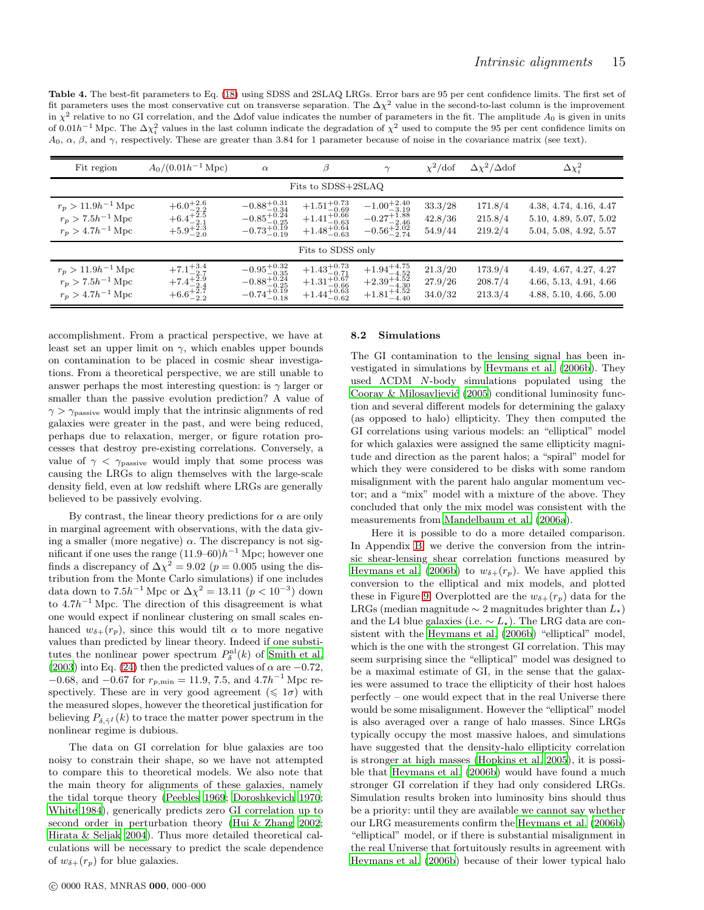<span id="page-14-0"></span>Table 4. The best-fit parameters to Eq. [\(18\)](#page-11-2) using SDSS and 2SLAQ LRGs. Error bars are 95 per cent confidence limits. The first set of fit parameters uses the most conservative cut on transverse separation. The  $\Delta \chi^2$  value in the second-to-last column is the improvement in  $\chi^2$  relative to no GI correlation, and the ∆dof value indicates the number of parameters in the fit. The amplitude  $A_0$  is given in units of 0.01 $h^{-1}$  Mpc. The  $\Delta\chi^2_i$  values in the last column indicate the degradation of  $\chi^2$  used to compute the 95 per cent confidence limits on  $A_0, \alpha, \beta$ , and  $\gamma$ , respectively. These are greater than 3.84 for 1 parameter because of noise in the covariance matrix (see text).

| Fit region                                                                         | $A_0/(0.01h^{-1}$ Mpc)                                                                         | $\alpha$                                                                                               | β                                                                                                      | $\sim$                                                                                 | $\chi^2$ /dof                 | $\Delta \chi^2/\Delta$ dof    | $\Delta\chi^2_i$                                                           |
|------------------------------------------------------------------------------------|------------------------------------------------------------------------------------------------|--------------------------------------------------------------------------------------------------------|--------------------------------------------------------------------------------------------------------|----------------------------------------------------------------------------------------|-------------------------------|-------------------------------|----------------------------------------------------------------------------|
|                                                                                    |                                                                                                |                                                                                                        | Fits to SDSS+2SLAQ                                                                                     |                                                                                        |                               |                               |                                                                            |
| $r_p > 11.9h^{-1}$ Mpc<br>$r_p > 7.5h^{-1}\,\mathrm{Mpc}$<br>$r_p > 4.7h^{-1}$ Mpc | $+6.0^{+2.6}_{-2.2}$<br>$+6.4^{+2.5}_{-2.1}$<br>$+5.9^{+2.3}_{-2.0}$                           | $-0.88^{+0.31}_{-0.34}$<br>$-0.85_{-0.25}^{+0.24}$<br>$-0.73^{+0.19}_{-0.19}$                          | $+1.51^{+0.73}_{-0.69}$<br>$+1.41^{+0.66}_{-0.63}$<br>$+1.48^{+0.64}_{-0.63}$                          | $-1.00^{+2.40}_{-3.19}$<br>$-0.27^{+1.88}_{-2.46}$<br>$-0.56_{-2.74}^{+5.02}$          | 33.3/28<br>42.8/36<br>54.9/44 | 171.8/4<br>215.8/4<br>219.2/4 | 4.38, 4.74, 4.16, 4.47<br>5.10, 4.89, 5.07, 5.02<br>5.04, 5.08, 4.92, 5.57 |
|                                                                                    |                                                                                                |                                                                                                        | Fits to SDSS only                                                                                      |                                                                                        |                               |                               |                                                                            |
| $r_p > 11.9h^{-1}$ Mpc<br>$r_p > 7.5h^{-1}$ Mpc<br>$r_p > 4.7 h^{-1}$ Mpc          | $\begin{array}{r} +7.1^{+3.4}_{-2.7}\\ +7.4^{+2.9}_{-2.4} \end{array}$<br>$+6.6^{+2.7}_{-2.2}$ | $\begin{array}{r} -0.95^{+0.32}_{-0.35} \\ -0.88^{+0.24}_{-0.25} \\ -0.74^{+0.19}_{-0.18} \end{array}$ | $\begin{array}{l} +1.43^{+0.73}_{-0.71} \\ +1.31^{+0.67}_{-0.66} \\ +1.44^{+0.63}_{-0.62} \end{array}$ | $\substack{+1.94_{-4.52}^{+4.75} \\ +2.39_{-4.30}^{+4.52}}$<br>$+1.81_{-4.40}^{+4.52}$ | 21.3/20<br>27.9/26<br>34.0/32 | 173.9/4<br>208.7/4<br>213.3/4 | 4.49, 4.67, 4.27, 4.27<br>4.66, 5.13, 4.91, 4.66<br>4.88, 5.10, 4.66, 5.00 |

accomplishment. From a practical perspective, we have at least set an upper limit on  $\gamma$ , which enables upper bounds on contamination to be placed in cosmic shear investigations. From a theoretical perspective, we are still unable to answer perhaps the most interesting question: is  $\gamma$  larger or smaller than the passive evolution prediction? A value of  $\gamma > \gamma_{\text{passive}}$  would imply that the intrinsic alignments of red galaxies were greater in the past, and were being reduced, perhaps due to relaxation, merger, or figure rotation processes that destroy pre-existing correlations. Conversely, a value of  $\gamma < \gamma_{\text{passive}}$  would imply that some process was causing the LRGs to align themselves with the large-scale density field, even at low redshift where LRGs are generally believed to be passively evolving.

By contrast, the linear theory predictions for  $\alpha$  are only in marginal agreement with observations, with the data giving a smaller (more negative)  $\alpha$ . The discrepancy is not significant if one uses the range  $(11.9–60)h^{-1}$  Mpc; however one finds a discrepancy of  $\Delta \chi^2 = 9.02$  ( $p = 0.005$  using the distribution from the Monte Carlo simulations) if one includes data down to  $7.5h^{-1}$  Mpc or  $\Delta\chi^2 = 13.11$   $(p < 10^{-3})$  down to  $4.7h^{-1}$  Mpc. The direction of this disagreement is what one would expect if nonlinear clustering on small scales enhanced  $w_{\delta+}(r_p)$ , since this would tilt  $\alpha$  to more negative values than predicted by linear theory. Indeed if one substitutes the nonlinear power spectrum  $P_\delta^{\text{nl}}(k)$  of [Smith et al.](#page-20-73) [\(2003](#page-20-73)) into Eq. [\(24\)](#page-13-2) then the predicted values of  $\alpha$  are  $-0.72$ ,  $-0.68$ , and  $-0.67$  for  $r_{p,\text{min}} = 11.9, 7.5, \text{ and } 4.7h^{-1}$  Mpc respectively. These are in very good agreement ( $\leq 1\sigma$ ) with the measured slopes, however the theoretical justification for believing  $P_{\delta, \tilde{\gamma}^I}(k)$  to trace the matter power spectrum in the nonlinear regime is dubious.

The data on GI correlation for blue galaxies are too noisy to constrain their shape, so we have not attempted to compare this to theoretical models. We also note that the main theory for alignments of these galaxies, namely the tidal torque theory [\(Peebles 1969](#page-20-79); [Doroshkevich 1970;](#page-20-80) [White 1984\)](#page-21-12), generically predicts zero GI correlation up to second order in perturbation theory [\(Hui & Zhang 2002;](#page-20-37) [Hirata & Seljak 2004](#page-20-35)). Thus more detailed theoretical calculations will be necessary to predict the scale dependence of  $w_{\delta+}(r_p)$  for blue galaxies.

#### <span id="page-14-1"></span>8.2 Simulations

The GI contamination to the lensing signal has been investigated in simulations by [Heymans et al. \(2006b\)](#page-20-38). They used ΛCDM N-body simulations populated using the Cooray & Milosavljević  $(2005)$  conditional luminosity function and several different models for determining the galaxy (as opposed to halo) ellipticity. They then computed the GI correlations using various models: an "elliptical" model for which galaxies were assigned the same ellipticity magnitude and direction as the parent halos; a "spiral" model for which they were considered to be disks with some random misalignment with the parent halo angular momentum vector; and a "mix" model with a mixture of the above. They concluded that only the mix model was consistent with the measurements from [Mandelbaum et al. \(2006a](#page-20-39)).

Here it is possible to do a more detailed comparison. In Appendix [B,](#page-21-8) we derive the conversion from the intrinsic shear-lensing shear correlation functions measured by [Heymans et al. \(2006b](#page-20-38)) to  $w_{\delta+}(r_p)$ . We have applied this conversion to the elliptical and mix models, and plotted these in Figure [9.](#page-15-1) Overplotted are the  $w_{\delta+}(r_p)$  data for the LRGs (median magnitude  $\sim 2$  magnitudes brighter than  $L_{\star}$ ) and the L4 blue galaxies (i.e.  $\sim L_{\star}$ ). The LRG data are consistent with the [Heymans et al. \(2006b](#page-20-38)) "elliptical" model, which is the one with the strongest GI correlation. This may seem surprising since the "elliptical" model was designed to be a maximal estimate of GI, in the sense that the galaxies were assumed to trace the ellipticity of their host haloes perfectly – one would expect that in the real Universe there would be some misalignment. However the "elliptical" model is also averaged over a range of halo masses. Since LRGs typically occupy the most massive haloes, and simulations have suggested that the density-halo ellipticity correlation is stronger at high masses [\(Hopkins et al. 2005\)](#page-20-82), it is possible that [Heymans et al. \(2006b\)](#page-20-38) would have found a much stronger GI correlation if they had only considered LRGs. Simulation results broken into luminosity bins should thus be a priority: until they are available we cannot say whether our LRG measurements confirm the [Heymans et al. \(2006b](#page-20-38)) "elliptical" model, or if there is substantial misalignment in the real Universe that fortuitously results in agreement with [Heymans et al. \(2006b](#page-20-38)) because of their lower typical halo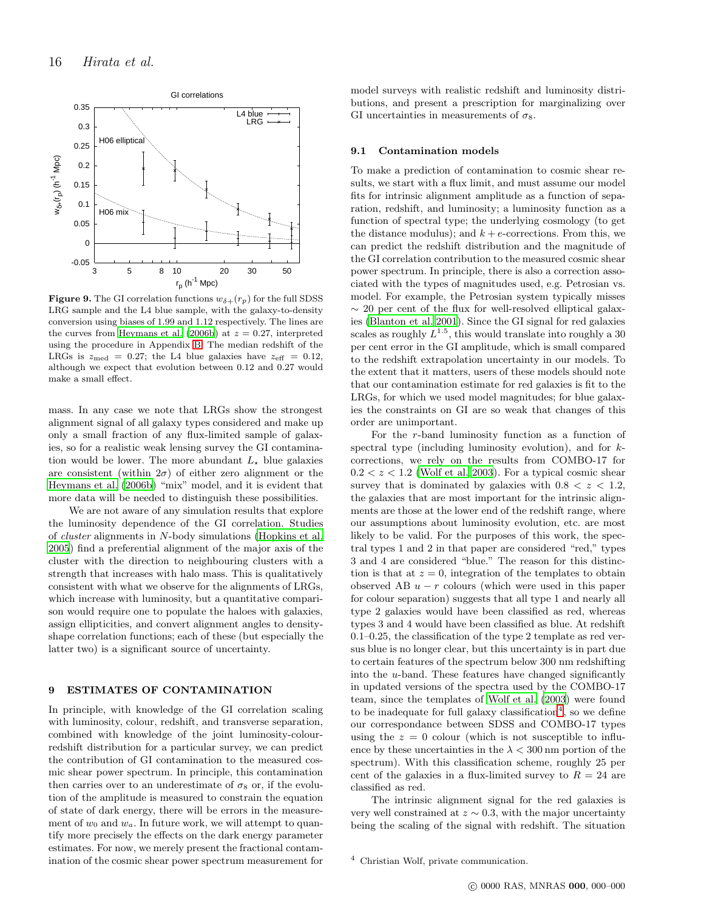

<span id="page-15-1"></span>**Figure 9.** The GI correlation functions  $w_{\delta+}(r_p)$  for the full SDSS LRG sample and the L4 blue sample, with the galaxy-to-density conversion using biases of 1.99 and 1.12 respectively. The lines are the curves from [Heymans et al. \(2006b\)](#page-20-38) at  $z = 0.27$ , interpreted using the procedure in Appendix [B.](#page-21-8) The median redshift of the LRGs is  $z_{\text{med}} = 0.27$ ; the L4 blue galaxies have  $z_{\text{eff}} = 0.12$ , although we expect that evolution between 0.12 and 0.27 would make a small effect.

mass. In any case we note that LRGs show the strongest alignment signal of all galaxy types considered and make up only a small fraction of any flux-limited sample of galaxies, so for a realistic weak lensing survey the GI contamination would be lower. The more abundant  $L_{\star}$  blue galaxies are consistent (within  $2\sigma$ ) of either zero alignment or the [Heymans et al. \(2006b](#page-20-38)) "mix" model, and it is evident that more data will be needed to distinguish these possibilities.

We are not aware of any simulation results that explore the luminosity dependence of the GI correlation. Studies of cluster alignments in N-body simulations [\(Hopkins et al.](#page-20-82) [2005](#page-20-82)) find a preferential alignment of the major axis of the cluster with the direction to neighbouring clusters with a strength that increases with halo mass. This is qualitatively consistent with what we observe for the alignments of LRGs, which increase with luminosity, but a quantitative comparison would require one to populate the haloes with galaxies, assign ellipticities, and convert alignment angles to densityshape correlation functions; each of these (but especially the latter two) is a significant source of uncertainty.

## <span id="page-15-0"></span>9 ESTIMATES OF CONTAMINATION

In principle, with knowledge of the GI correlation scaling with luminosity, colour, redshift, and transverse separation, combined with knowledge of the joint luminosity-colourredshift distribution for a particular survey, we can predict the contribution of GI contamination to the measured cosmic shear power spectrum. In principle, this contamination then carries over to an underestimate of  $\sigma_8$  or, if the evolution of the amplitude is measured to constrain the equation of state of dark energy, there will be errors in the measurement of  $w_0$  and  $w_a$ . In future work, we will attempt to quantify more precisely the effects on the dark energy parameter estimates. For now, we merely present the fractional contamination of the cosmic shear power spectrum measurement for

model surveys with realistic redshift and luminosity distributions, and present a prescription for marginalizing over GI uncertainties in measurements of  $\sigma_8$ .

#### 9.1 Contamination models

To make a prediction of contamination to cosmic shear results, we start with a flux limit, and must assume our model fits for intrinsic alignment amplitude as a function of separation, redshift, and luminosity; a luminosity function as a function of spectral type; the underlying cosmology (to get the distance modulus); and  $k + e$ -corrections. From this, we can predict the redshift distribution and the magnitude of the GI correlation contribution to the measured cosmic shear power spectrum. In principle, there is also a correction associated with the types of magnitudes used, e.g. Petrosian vs. model. For example, the Petrosian system typically misses  $\sim$  20 per cent of the flux for well-resolved elliptical galaxies [\(Blanton et al. 2001\)](#page-19-18). Since the GI signal for red galaxies scales as roughly  $L^{1.5}$ , this would translate into roughly a 30 per cent error in the GI amplitude, which is small compared to the redshift extrapolation uncertainty in our models. To the extent that it matters, users of these models should note that our contamination estimate for red galaxies is fit to the LRGs, for which we used model magnitudes; for blue galaxies the constraints on GI are so weak that changes of this order are unimportant.

For the r-band luminosity function as a function of spectral type (including luminosity evolution), and for kcorrections, we rely on the results from COMBO-17 for  $0.2 < z < 1.2$  [\(Wolf et al. 2003](#page-21-13)). For a typical cosmic shear survey that is dominated by galaxies with  $0.8 < z < 1.2$ , the galaxies that are most important for the intrinsic alignments are those at the lower end of the redshift range, where our assumptions about luminosity evolution, etc. are most likely to be valid. For the purposes of this work, the spectral types 1 and 2 in that paper are considered "red," types 3 and 4 are considered "blue." The reason for this distinction is that at  $z = 0$ , integration of the templates to obtain observed AB  $u - r$  colours (which were used in this paper for colour separation) suggests that all type 1 and nearly all type 2 galaxies would have been classified as red, whereas types 3 and 4 would have been classified as blue. At redshift 0.1–0.25, the classification of the type 2 template as red versus blue is no longer clear, but this uncertainty is in part due to certain features of the spectrum below 300 nm redshifting into the u-band. These features have changed significantly in updated versions of the spectra used by the COMBO-17 team, since the templates of [Wolf et al. \(2003](#page-21-13)) were found to be inadequate for full galaxy classification<sup>[4](#page-15-2)</sup>, so we define our correspondance between SDSS and COMBO-17 types using the  $z = 0$  colour (which is not susceptible to influence by these uncertainties in the  $\lambda < 300$  nm portion of the spectrum). With this classification scheme, roughly 25 per cent of the galaxies in a flux-limited survey to  $R = 24$  are classified as red.

The intrinsic alignment signal for the red galaxies is very well constrained at  $z \sim 0.3$ , with the major uncertainty being the scaling of the signal with redshift. The situation

<span id="page-15-2"></span><sup>4</sup> Christian Wolf, private communication.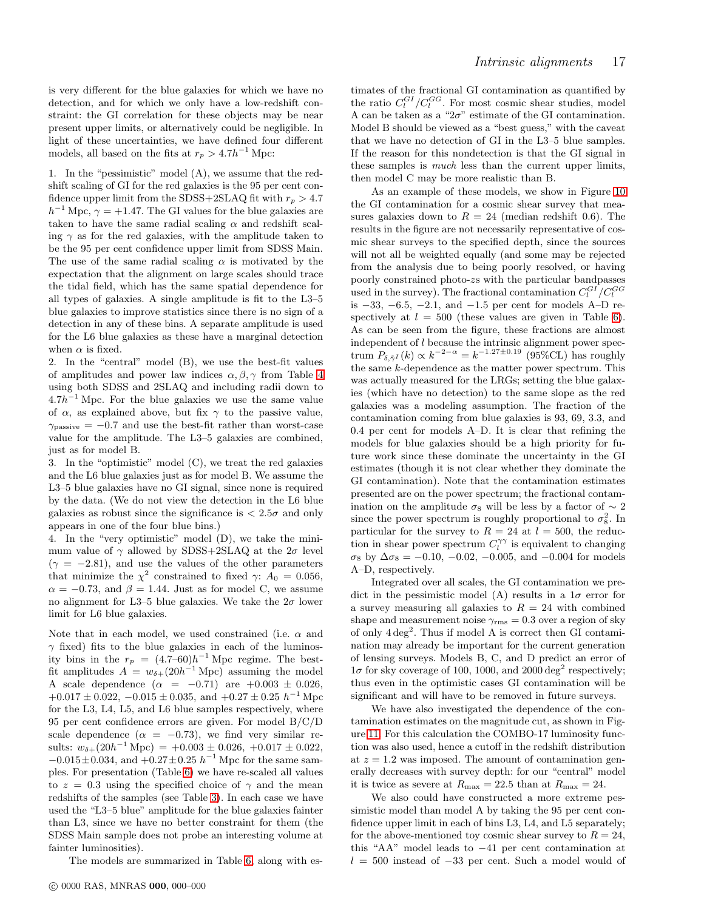is very different for the blue galaxies for which we have no detection, and for which we only have a low-redshift constraint: the GI correlation for these objects may be near present upper limits, or alternatively could be negligible. In light of these uncertainties, we have defined four different models, all based on the fits at  $r_p > 4.7h^{-1}$  Mpc:

1. In the "pessimistic" model (A), we assume that the redshift scaling of GI for the red galaxies is the 95 per cent confidence upper limit from the SDSS+2SLAQ fit with  $r_p > 4.7$  $h^{-1}$  Mpc,  $\gamma = +1.47$ . The GI values for the blue galaxies are taken to have the same radial scaling  $\alpha$  and redshift scaling  $\gamma$  as for the red galaxies, with the amplitude taken to be the 95 per cent confidence upper limit from SDSS Main. The use of the same radial scaling  $\alpha$  is motivated by the expectation that the alignment on large scales should trace the tidal field, which has the same spatial dependence for all types of galaxies. A single amplitude is fit to the L3–5 blue galaxies to improve statistics since there is no sign of a detection in any of these bins. A separate amplitude is used for the L6 blue galaxies as these have a marginal detection when  $\alpha$  is fixed.

2. In the "central" model (B), we use the best-fit values of amplitudes and power law indices  $\alpha, \beta, \gamma$  from Table [4](#page-14-0) using both SDSS and 2SLAQ and including radii down to  $4.7h^{-1}$  Mpc. For the blue galaxies we use the same value of  $\alpha$ , as explained above, but fix  $\gamma$  to the passive value,  $\gamma_{\text{passive}} = -0.7$  and use the best-fit rather than worst-case value for the amplitude. The L3–5 galaxies are combined, just as for model B.

3. In the "optimistic" model (C), we treat the red galaxies and the L6 blue galaxies just as for model B. We assume the L3–5 blue galaxies have no GI signal, since none is required by the data. (We do not view the detection in the L6 blue galaxies as robust since the significance is  $\langle 2.5\sigma \rangle$  and only appears in one of the four blue bins.)

4. In the "very optimistic" model (D), we take the minimum value of  $\gamma$  allowed by SDSS+2SLAQ at the  $2\sigma$  level  $(\gamma = -2.81)$ , and use the values of the other parameters that minimize the  $\chi^2$  constrained to fixed  $\gamma$ :  $A_0 = 0.056$ ,  $\alpha = -0.73$ , and  $\beta = 1.44$ . Just as for model C, we assume no alignment for L3–5 blue galaxies. We take the  $2\sigma$  lower limit for L6 blue galaxies.

Note that in each model, we used constrained (i.e.  $\alpha$  and  $\gamma$  fixed) fits to the blue galaxies in each of the luminosity bins in the  $r_p = (4.7–60)h^{-1}$  Mpc regime. The bestfit amplitudes  $A = w_{\delta+}(20h^{-1}\text{ Mpc})$  assuming the model A scale dependence  $(\alpha = -0.71)$  are  $+0.003 \pm 0.026$ ,  $+0.017 \pm 0.022, -0.015 \pm 0.035, \text{ and } +0.27 \pm 0.25 \text{ } h^{-1} \text{ Mpc}$ for the L3, L4, L5, and L6 blue samples respectively, where 95 per cent confidence errors are given. For model B/C/D scale dependence ( $\alpha = -0.73$ ), we find very similar results:  $w_{\delta+} (20h^{-1} \text{ Mpc}) = +0.003 \pm 0.026, +0.017 \pm 0.022,$  $-0.015 \pm 0.034$ , and  $+0.27 \pm 0.25$   $h^{-1}$  Mpc for the same samples. For presentation (Table [6\)](#page-17-0) we have re-scaled all values to  $z = 0.3$  using the specified choice of  $\gamma$  and the mean redshifts of the samples (see Table [3\)](#page-11-1). In each case we have used the "L3–5 blue" amplitude for the blue galaxies fainter than L3, since we have no better constraint for them (the SDSS Main sample does not probe an interesting volume at fainter luminosities).

The models are summarized in Table [6,](#page-17-0) along with es-

timates of the fractional GI contamination as quantified by the ratio  $C_l^{GI}/C_l^{GG}$ . For most cosmic shear studies, model A can be taken as a " $2\sigma$ " estimate of the GI contamination. Model B should be viewed as a "best guess," with the caveat that we have no detection of GI in the L3–5 blue samples. If the reason for this nondetection is that the GI signal in these samples is much less than the current upper limits, then model C may be more realistic than B.

As an example of these models, we show in Figure [10](#page-17-1) the GI contamination for a cosmic shear survey that measures galaxies down to  $R = 24$  (median redshift 0.6). The results in the figure are not necessarily representative of cosmic shear surveys to the specified depth, since the sources will not all be weighted equally (and some may be rejected from the analysis due to being poorly resolved, or having poorly constrained photo-zs with the particular bandpasses used in the survey). The fractional contamination  $C_l^{GI}/C_l^{GG}$ is  $-33, -6.5, -2.1,$  and  $-1.5$  per cent for models A–D respectively at  $l = 500$  (these values are given in Table [6\)](#page-17-0). As can be seen from the figure, these fractions are almost independent of l because the intrinsic alignment power spectrum  $P_{\delta, \tilde{\gamma}^I}(k) \propto k^{-2-\alpha} = k^{-1.27 \pm 0.19}$  (95%CL) has roughly the same  $k$ -dependence as the matter power spectrum. This was actually measured for the LRGs; setting the blue galaxies (which have no detection) to the same slope as the red galaxies was a modeling assumption. The fraction of the contamination coming from blue galaxies is 93, 69, 3.3, and 0.4 per cent for models A–D. It is clear that refining the models for blue galaxies should be a high priority for future work since these dominate the uncertainty in the GI estimates (though it is not clear whether they dominate the GI contamination). Note that the contamination estimates presented are on the power spectrum; the fractional contamination on the amplitude  $\sigma_8$  will be less by a factor of  $\sim 2$ since the power spectrum is roughly proportional to  $\sigma_8^2$ . In particular for the survey to  $R = 24$  at  $l = 500$ , the reduction in shear power spectrum  $C_l^{\gamma\gamma}$  is equivalent to changing  $\sigma_8$  by  $\Delta \sigma_8 = -0.10, -0.02, -0.005, \text{ and } -0.004$  for models A–D, respectively.

Integrated over all scales, the GI contamination we predict in the pessimistic model (A) results in a  $1\sigma$  error for a survey measuring all galaxies to  $R = 24$  with combined shape and measurement noise  $\gamma_{\rm rms} = 0.3$  over a region of sky of only  $4 \text{ deg}^2$ . Thus if model A is correct then GI contamination may already be important for the current generation of lensing surveys. Models B, C, and D predict an error of  $1\sigma$  for sky coverage of 100, 1000, and 2000 deg<sup>2</sup> respectively; thus even in the optimistic cases GI contamination will be significant and will have to be removed in future surveys.

We have also investigated the dependence of the contamination estimates on the magnitude cut, as shown in Figure [11.](#page-17-2) For this calculation the COMBO-17 luminosity function was also used, hence a cutoff in the redshift distribution at  $z = 1.2$  was imposed. The amount of contamination generally decreases with survey depth: for our "central" model it is twice as severe at  $R_{\text{max}} = 22.5$  than at  $R_{\text{max}} = 24$ .

We also could have constructed a more extreme pessimistic model than model A by taking the 95 per cent confidence upper limit in each of bins L3, L4, and L5 separately; for the above-mentioned toy cosmic shear survey to  $R = 24$ , this "AA" model leads to −41 per cent contamination at  $l = 500$  instead of  $-33$  per cent. Such a model would of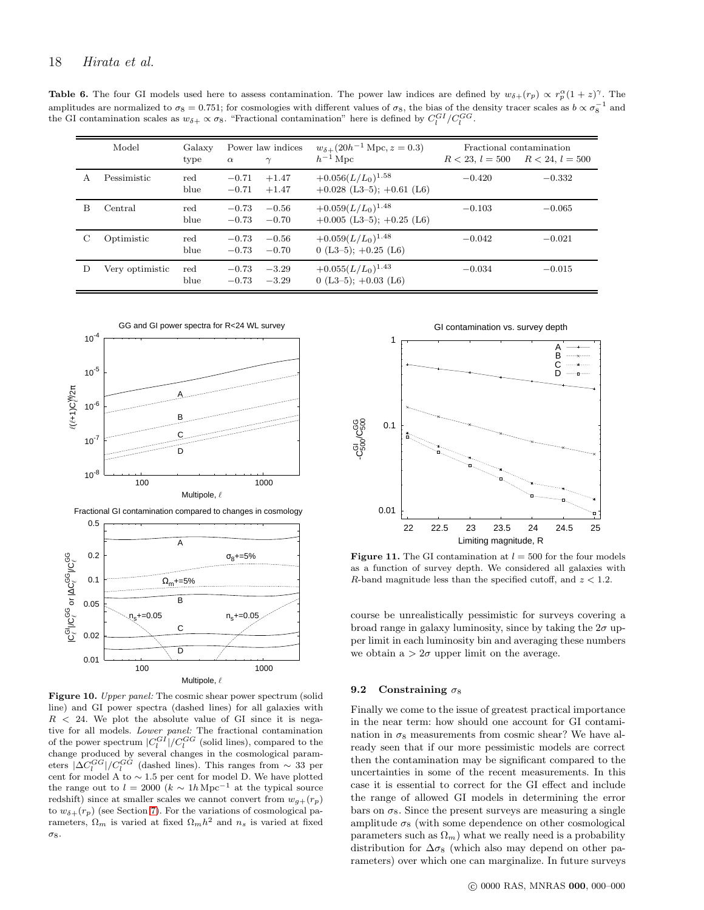**Table 6.** The four GI models used here to assess contamination. The power law indices are defined by  $w_{\delta+}(r_p) \propto r_p^{\alpha}(1+z)^{\gamma}$ . The amplitudes are normalized to  $\sigma_8 = 0.751$ ; for cosmologies with different values of  $\sigma_8$ , the bias of the density tracer scales as  $b \propto \sigma_8^{-1}$  and the GI contamination scales as  $w_{\delta+} \propto \sigma_8$ . "Fractional contamination" here is defined by  $C_l^{GI}/C_l^{GG}$ .

<span id="page-17-0"></span>

|   | Model           | Galaxy<br>type | $\alpha$           | Power law indices<br>$\gamma$ | $w_{\delta+}(20h^{-1}\text{ Mpc}, z=0.3)$<br>$h^{-1}$ Mpc |          | Fractional contamination<br>$R < 23, l = 500$ $R < 24, l = 500$ |
|---|-----------------|----------------|--------------------|-------------------------------|-----------------------------------------------------------|----------|-----------------------------------------------------------------|
| A | Pessimistic     | red<br>blue    | $-0.71$<br>$-0.71$ | $+1.47$<br>$+1.47$            | $+0.056(L/L_0)^{1.58}$<br>$+0.028$ (L3-5); $+0.61$ (L6)   | $-0.420$ | $-0.332$                                                        |
| B | Central         | red<br>blue    | $-0.73$<br>$-0.73$ | $-0.56$<br>$-0.70$            | $+0.059(L/L_0)^{1.48}$<br>$+0.005$ (L3-5); $+0.25$ (L6)   | $-0.103$ | $-0.065$                                                        |
| С | Optimistic      | red<br>blue    | $-0.73$<br>$-0.73$ | $-0.56$<br>$-0.70$            | $+0.059(L/L_0)^{1.48}$<br>$0(L3-5); +0.25(L6)$            | $-0.042$ | $-0.021$                                                        |
| D | Very optimistic | red<br>blue    | $-0.73$<br>$-0.73$ | $-3.29$<br>$-3.29$            | $+0.055(L/L_0)^{1.43}$<br>$0(L3-5); +0.03(L6)$            | $-0.034$ | $-0.015$                                                        |



<span id="page-17-1"></span>Figure 10. Upper panel: The cosmic shear power spectrum (solid line) and GI power spectra (dashed lines) for all galaxies with  $R$  < 24. We plot the absolute value of GI since it is negative for all models. Lower panel: The fractional contamination of the power spectrum  $|C_l^{GI}|/C_l^{GG}$  (solid lines), compared to the change produced by several changes in the cosmological parameters  $|\Delta C_l^{GG}|/C_l^{GG}$  (dashed lines). This ranges from  $\sim 33$  per cent for model A to ∼ 1.5 per cent for model D. We have plotted the range out to  $l = 2000 \ (k \sim 1h \text{ Mpc}^{-1})$  at the typical source redshift) since at smaller scales we cannot convert from  $w_{g+}(\boldsymbol{r}_p)$ to  $w_{\delta+}(r_p)$  (see Section [7\)](#page-10-0). For the variations of cosmological parameters,  $\Omega_m$  is varied at fixed  $\Omega_m h^2$  and  $n_s$  is varied at fixed σ8.



<span id="page-17-2"></span>Figure 11. The GI contamination at  $l = 500$  for the four models as a function of survey depth. We considered all galaxies with R-band magnitude less than the specified cutoff, and  $z < 1.2$ .

course be unrealistically pessimistic for surveys covering a broad range in galaxy luminosity, since by taking the  $2\sigma$  upper limit in each luminosity bin and averaging these numbers we obtain  $a > 2\sigma$  upper limit on the average.

#### 9.2 Constraining  $\sigma_8$

Finally we come to the issue of greatest practical importance in the near term: how should one account for GI contamination in  $\sigma_8$  measurements from cosmic shear? We have already seen that if our more pessimistic models are correct then the contamination may be significant compared to the uncertainties in some of the recent measurements. In this case it is essential to correct for the GI effect and include the range of allowed GI models in determining the error bars on  $\sigma_8$ . Since the present surveys are measuring a single amplitude  $\sigma_8$  (with some dependence on other cosmological parameters such as  $\Omega_m$ ) what we really need is a probability distribution for  $\Delta \sigma_8$  (which also may depend on other parameters) over which one can marginalize. In future surveys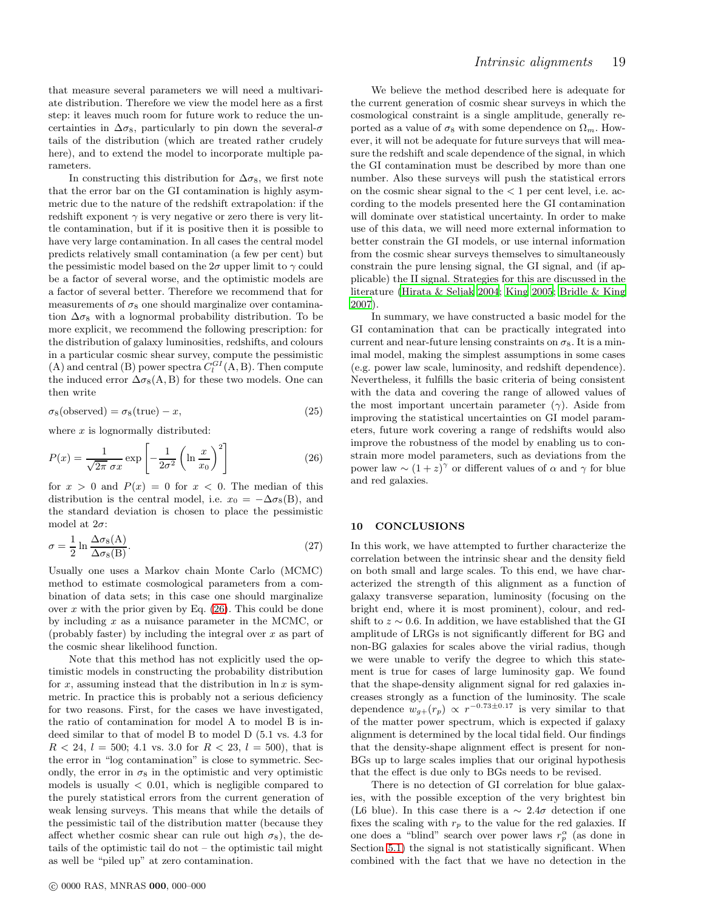that measure several parameters we will need a multivariate distribution. Therefore we view the model here as a first step: it leaves much room for future work to reduce the uncertainties in  $\Delta \sigma_8$ , particularly to pin down the several- $\sigma$ tails of the distribution (which are treated rather crudely here), and to extend the model to incorporate multiple parameters.

In constructing this distribution for  $\Delta \sigma_8$ , we first note that the error bar on the GI contamination is highly asymmetric due to the nature of the redshift extrapolation: if the redshift exponent  $\gamma$  is very negative or zero there is very little contamination, but if it is positive then it is possible to have very large contamination. In all cases the central model predicts relatively small contamination (a few per cent) but the pessimistic model based on the  $2\sigma$  upper limit to  $\gamma$  could be a factor of several worse, and the optimistic models are a factor of several better. Therefore we recommend that for measurements of  $\sigma_8$  one should marginalize over contamination  $\Delta \sigma_8$  with a lognormal probability distribution. To be more explicit, we recommend the following prescription: for the distribution of galaxy luminosities, redshifts, and colours in a particular cosmic shear survey, compute the pessimistic (A) and central (B) power spectra  $C_l^{GI}(A, B)$ . Then compute the induced error  $\Delta \sigma_8(A, B)$  for these two models. One can then write

$$
\sigma_8(\text{observed}) = \sigma_8(\text{true}) - x,\tag{25}
$$

where  $x$  is lognormally distributed:

<span id="page-18-1"></span>
$$
P(x) = \frac{1}{\sqrt{2\pi} \sigma x} \exp\left[-\frac{1}{2\sigma^2} \left(\ln \frac{x}{x_0}\right)^2\right]
$$
 (26)

for  $x > 0$  and  $P(x) = 0$  for  $x < 0$ . The median of this distribution is the central model, i.e.  $x_0 = -\Delta \sigma_8(B)$ , and the standard deviation is chosen to place the pessimistic model at  $2\sigma$ :

$$
\sigma = \frac{1}{2} \ln \frac{\Delta \sigma_8(A)}{\Delta \sigma_8(B)}.
$$
\n(27)

Usually one uses a Markov chain Monte Carlo (MCMC) method to estimate cosmological parameters from a combination of data sets; in this case one should marginalize over x with the prior given by Eq.  $(26)$ . This could be done by including  $x$  as a nuisance parameter in the MCMC, or (probably faster) by including the integral over  $x$  as part of the cosmic shear likelihood function.

Note that this method has not explicitly used the optimistic models in constructing the probability distribution for x, assuming instead that the distribution in  $\ln x$  is symmetric. In practice this is probably not a serious deficiency for two reasons. First, for the cases we have investigated, the ratio of contamination for model A to model B is indeed similar to that of model B to model D (5.1 vs. 4.3 for  $R < 24$ ,  $l = 500$ ; 4.1 vs. 3.0 for  $R < 23$ ,  $l = 500$ ), that is the error in "log contamination" is close to symmetric. Secondly, the error in  $\sigma_8$  in the optimistic and very optimistic models is usually  $\langle 0.01, \text{ which is negligible compared to}$ the purely statistical errors from the current generation of weak lensing surveys. This means that while the details of the pessimistic tail of the distribution matter (because they affect whether cosmic shear can rule out high  $\sigma_8$ ), the details of the optimistic tail do not – the optimistic tail might as well be "piled up" at zero contamination.

We believe the method described here is adequate for the current generation of cosmic shear surveys in which the cosmological constraint is a single amplitude, generally reported as a value of  $\sigma_8$  with some dependence on  $\Omega_m$ . However, it will not be adequate for future surveys that will measure the redshift and scale dependence of the signal, in which the GI contamination must be described by more than one number. Also these surveys will push the statistical errors on the cosmic shear signal to the  $\lt 1$  per cent level, i.e. according to the models presented here the GI contamination will dominate over statistical uncertainty. In order to make use of this data, we will need more external information to better constrain the GI models, or use internal information from the cosmic shear surveys themselves to simultaneously constrain the pure lensing signal, the GI signal, and (if applicable) the II signal. Strategies for this are discussed in the literature [\(Hirata & Seljak 2004](#page-20-35); [King 2005](#page-20-36); [Bridle & King](#page-19-5) [2007](#page-19-5)).

In summary, we have constructed a basic model for the GI contamination that can be practically integrated into current and near-future lensing constraints on  $\sigma_8$ . It is a minimal model, making the simplest assumptions in some cases (e.g. power law scale, luminosity, and redshift dependence). Nevertheless, it fulfills the basic criteria of being consistent with the data and covering the range of allowed values of the most important uncertain parameter  $(\gamma)$ . Aside from improving the statistical uncertainties on GI model parameters, future work covering a range of redshifts would also improve the robustness of the model by enabling us to constrain more model parameters, such as deviations from the power law  $\sim (1+z)^{\gamma}$  or different values of  $\alpha$  and  $\gamma$  for blue and red galaxies.

#### <span id="page-18-0"></span>10 CONCLUSIONS

In this work, we have attempted to further characterize the correlation between the intrinsic shear and the density field on both small and large scales. To this end, we have characterized the strength of this alignment as a function of galaxy transverse separation, luminosity (focusing on the bright end, where it is most prominent), colour, and redshift to  $z \sim 0.6$ . In addition, we have established that the GI amplitude of LRGs is not significantly different for BG and non-BG galaxies for scales above the virial radius, though we were unable to verify the degree to which this statement is true for cases of large luminosity gap. We found that the shape-density alignment signal for red galaxies increases strongly as a function of the luminosity. The scale dependence  $w_{g+}(r_p) \propto r^{-0.73 \pm 0.17}$  is very similar to that of the matter power spectrum, which is expected if galaxy alignment is determined by the local tidal field. Our findings that the density-shape alignment effect is present for non-BGs up to large scales implies that our original hypothesis that the effect is due only to BGs needs to be revised.

There is no detection of GI correlation for blue galaxies, with the possible exception of the very brightest bin (L6 blue). In this case there is a  $\sim 2.4\sigma$  detection if one fixes the scaling with  $r_p$  to the value for the red galaxies. If one does a "blind" search over power laws  $r_p^{\alpha}$  (as done in Section [5.1\)](#page-5-5) the signal is not statistically significant. When combined with the fact that we have no detection in the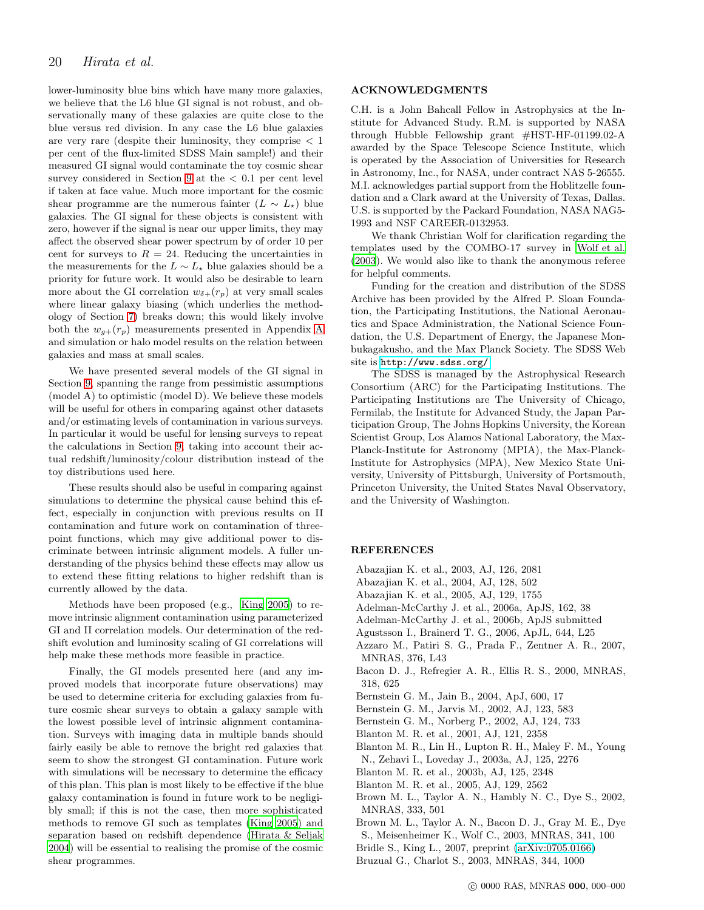lower-luminosity blue bins which have many more galaxies, we believe that the L6 blue GI signal is not robust, and observationally many of these galaxies are quite close to the blue versus red division. In any case the L6 blue galaxies are very rare (despite their luminosity, they comprise  $\langle 1 \rangle$ per cent of the flux-limited SDSS Main sample!) and their measured GI signal would contaminate the toy cosmic shear survey considered in Section [9](#page-15-0) at the  $< 0.1$  per cent level if taken at face value. Much more important for the cosmic shear programme are the numerous fainter  $(L \sim L_{\star})$  blue galaxies. The GI signal for these objects is consistent with zero, however if the signal is near our upper limits, they may affect the observed shear power spectrum by of order 10 per cent for surveys to  $R = 24$ . Reducing the uncertainties in the measurements for the  $L \sim L_{\star}$  blue galaxies should be a priority for future work. It would also be desirable to learn more about the GI correlation  $w_{\delta+}(r_p)$  at very small scales where linear galaxy biasing (which underlies the methodology of Section [7\)](#page-10-0) breaks down; this would likely involve both the  $w_{q+}(r_p)$  measurements presented in [A](#page-21-7)ppendix A and simulation or halo model results on the relation between galaxies and mass at small scales.

We have presented several models of the GI signal in Section [9,](#page-15-0) spanning the range from pessimistic assumptions (model A) to optimistic (model D). We believe these models will be useful for others in comparing against other datasets and/or estimating levels of contamination in various surveys. In particular it would be useful for lensing surveys to repeat the calculations in Section [9,](#page-15-0) taking into account their actual redshift/luminosity/colour distribution instead of the toy distributions used here.

These results should also be useful in comparing against simulations to determine the physical cause behind this effect, especially in conjunction with previous results on II contamination and future work on contamination of threepoint functions, which may give additional power to discriminate between intrinsic alignment models. A fuller understanding of the physics behind these effects may allow us to extend these fitting relations to higher redshift than is currently allowed by the data.

Methods have been proposed (e.g., [King 2005](#page-20-36)) to remove intrinsic alignment contamination using parameterized GI and II correlation models. Our determination of the redshift evolution and luminosity scaling of GI correlations will help make these methods more feasible in practice.

Finally, the GI models presented here (and any improved models that incorporate future observations) may be used to determine criteria for excluding galaxies from future cosmic shear surveys to obtain a galaxy sample with the lowest possible level of intrinsic alignment contamination. Surveys with imaging data in multiple bands should fairly easily be able to remove the bright red galaxies that seem to show the strongest GI contamination. Future work with simulations will be necessary to determine the efficacy of this plan. This plan is most likely to be effective if the blue galaxy contamination is found in future work to be negligibly small; if this is not the case, then more sophisticated methods to remove GI such as templates [\(King 2005](#page-20-36)) and separation based on redshift dependence [\(Hirata & Seljak](#page-20-35) [2004](#page-20-35)) will be essential to realising the promise of the cosmic shear programmes.

#### ACKNOWLEDGMENTS

C.H. is a John Bahcall Fellow in Astrophysics at the Institute for Advanced Study. R.M. is supported by NASA through Hubble Fellowship grant #HST-HF-01199.02-A awarded by the Space Telescope Science Institute, which is operated by the Association of Universities for Research in Astronomy, Inc., for NASA, under contract NAS 5-26555. M.I. acknowledges partial support from the Hoblitzelle foundation and a Clark award at the University of Texas, Dallas. U.S. is supported by the Packard Foundation, NASA NAG5- 1993 and NSF CAREER-0132953.

We thank Christian Wolf for clarification regarding the templates used by the COMBO-17 survey in [Wolf et al.](#page-21-13) [\(2003](#page-21-13)). We would also like to thank the anonymous referee for helpful comments.

Funding for the creation and distribution of the SDSS Archive has been provided by the Alfred P. Sloan Foundation, the Participating Institutions, the National Aeronautics and Space Administration, the National Science Foundation, the U.S. Department of Energy, the Japanese Monbukagakusho, and the Max Planck Society. The SDSS Web site is <http://www.sdss.org/>.

The SDSS is managed by the Astrophysical Research Consortium (ARC) for the Participating Institutions. The Participating Institutions are The University of Chicago, Fermilab, the Institute for Advanced Study, the Japan Participation Group, The Johns Hopkins University, the Korean Scientist Group, Los Alamos National Laboratory, the Max-Planck-Institute for Astronomy (MPIA), the Max-Planck-Institute for Astrophysics (MPA), New Mexico State University, University of Pittsburgh, University of Portsmouth, Princeton University, the United States Naval Observatory, and the University of Washington.

# **REFERENCES**

- <span id="page-19-10"></span>Abazajian K. et al., 2003, AJ, 126, 2081
- <span id="page-19-11"></span>Abazajian K. et al., 2004, AJ, 128, 502
- <span id="page-19-12"></span>Abazajian K. et al., 2005, AJ, 129, 1755
- <span id="page-19-13"></span>Adelman-McCarthy J. et al., 2006a, ApJS, 162, 38
- <span id="page-19-14"></span>Adelman-McCarthy J. et al., 2006b, ApJS submitted
- <span id="page-19-7"></span>Agustsson I., Brainerd T. G., 2006, ApJL, 644, L25
- <span id="page-19-8"></span>Azzaro M., Patiri S. G., Prada F., Zentner A. R., 2007, MNRAS, 376, L43
- <span id="page-19-0"></span>Bacon D. J., Refregier A. R., Ellis R. S., 2000, MNRAS, 318, 625
- <span id="page-19-3"></span>Bernstein G. M., Jain B., 2004, ApJ, 600, 17
- <span id="page-19-2"></span>Bernstein G. M., Jarvis M., 2002, AJ, 123, 583
- <span id="page-19-6"></span>Bernstein G. M., Norberg P., 2002, AJ, 124, 733
- <span id="page-19-18"></span>Blanton M. R. et al., 2001, AJ, 121, 2358
- <span id="page-19-9"></span>Blanton M. R., Lin H., Lupton R. H., Maley F. M., Young N., Zehavi I., Loveday J., 2003a, AJ, 125, 2276
- <span id="page-19-16"></span>Blanton M. R. et al., 2003b, AJ, 125, 2348
- <span id="page-19-15"></span>Blanton M. R. et al., 2005, AJ, 129, 2562
- <span id="page-19-4"></span>Brown M. L., Taylor A. N., Hambly N. C., Dye S., 2002, MNRAS, 333, 501

<span id="page-19-1"></span>Brown M. L., Taylor A. N., Bacon D. J., Gray M. E., Dye

S., Meisenheimer K., Wolf C., 2003, MNRAS, 341, 100

<span id="page-19-5"></span>Bridle S., King L., 2007, preprint [\(arXiv:0705.0166\)](http://arXiv.org/abs/0705.0166)

<span id="page-19-17"></span>Bruzual G., Charlot S., 2003, MNRAS, 344, 1000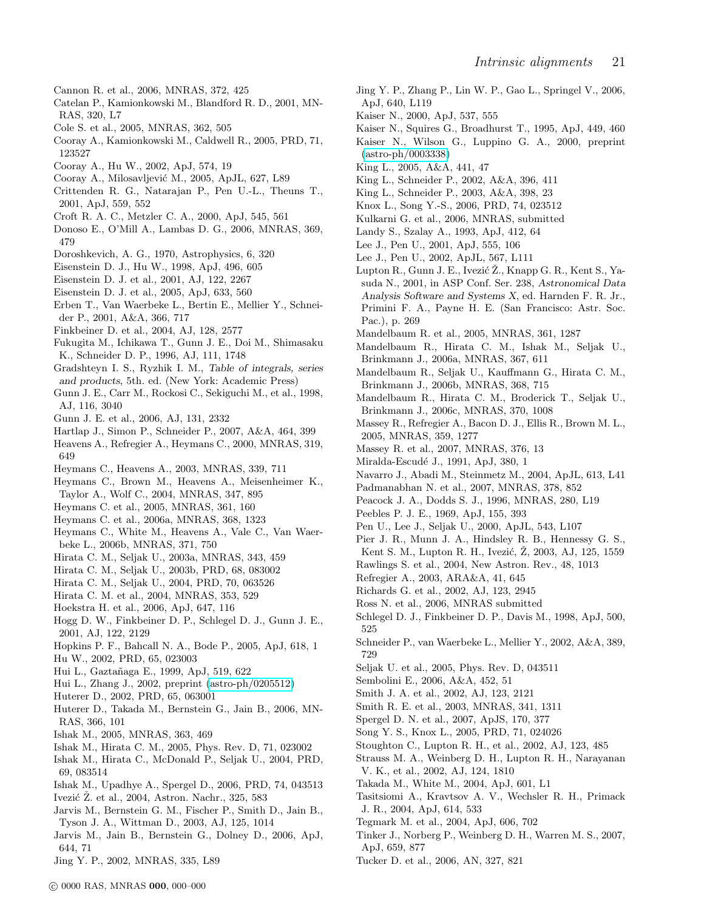- <span id="page-20-64"></span>Cannon R. et al., 2006, MNRAS, 372, 425
- <span id="page-20-27"></span>Catelan P., Kamionkowski M., Blandford R. D., 2001, MN-RAS, 320, L7
- <span id="page-20-69"></span>Cole S. et al., 2005, MNRAS, 362, 505
- Cooray A., Kamionkowski M., Caldwell R., 2005, PRD, 71, 123527
- Cooray A., Hu W., 2002, ApJ, 574, 19
- <span id="page-20-81"></span>Cooray A., Milosavljević M., 2005, ApJL, 627, L89
- <span id="page-20-28"></span>Crittenden R. G., Natarajan P., Pen U.-L., Theuns T., 2001, ApJ, 559, 552
- <span id="page-20-25"></span>Croft R. A. C., Metzler C. A., 2000, ApJ, 545, 561
- <span id="page-20-45"></span>Donoso E., O'Mill A., Lambas D. G., 2006, MNRAS, 369, 479
- <span id="page-20-80"></span>Doroshkevich, A. G., 1970, Astrophysics, 6, 320
- <span id="page-20-71"></span>Eisenstein D. J., Hu W., 1998, ApJ, 496, 605
- <span id="page-20-48"></span>Eisenstein D. J. et al., 2001, AJ, 122, 2267
- <span id="page-20-67"></span>Eisenstein D. J. et al., 2005, ApJ, 633, 560
- <span id="page-20-15"></span>Erben T., Van Waerbeke L., Bertin E., Mellier Y., Schneider P., 2001, A&A, 366, 717
- <span id="page-20-61"></span>Finkbeiner D. et al., 2004, AJ, 128, 2577
- <span id="page-20-53"></span>Fukugita M., Ichikawa T., Gunn J. E., Doi M., Shimasaku K., Schneider D. P., 1996, AJ, 111, 1748
- <span id="page-20-83"></span>Gradshteyn I. S., Ryzhik I. M., Table of integrals, series and products, 5th. ed. (New York: Academic Press)
- <span id="page-20-55"></span>Gunn J. E., Carr M., Rockosi C., Sekiguchi M., et al., 1998, AJ, 116, 3040
- <span id="page-20-56"></span>Gunn J. E. et al., 2006, AJ, 131, 2332
- <span id="page-20-78"></span>Hartlap J., Simon P., Schneider P., 2007, A&A, 464, 399 Heavens A., Refregier A., Heymans C., 2000, MNRAS, 319,
- <span id="page-20-26"></span>649
- <span id="page-20-33"></span>Heymans C., Heavens A., 2003, MNRAS, 339, 711
- <span id="page-20-30"></span>Heymans C., Brown M., Heavens A., Meisenheimer K., Taylor A., Wolf C., 2004, MNRAS, 347, 895
- <span id="page-20-3"></span>Heymans C. et al., 2005, MNRAS, 361, 160
- <span id="page-20-18"></span>Heymans C. et al., 2006a, MNRAS, 368, 1323
- <span id="page-20-38"></span>Heymans C., White M., Heavens A., Vale C., Van Waerbeke L., 2006b, MNRAS, 371, 750
- <span id="page-20-16"></span>Hirata C. M., Seljak U., 2003a, MNRAS, 343, 459
- Hirata C. M., Seljak U., 2003b, PRD, 68, 083002
- <span id="page-20-35"></span>Hirata C. M., Seljak U., 2004, PRD, 70, 063526
- <span id="page-20-43"></span>Hirata C. M. et al., 2004, MNRAS, 353, 529
- <span id="page-20-5"></span>Hoekstra H. et al., 2006, ApJ, 647, 116
- <span id="page-20-51"></span>Hogg D. W., Finkbeiner D. P., Schlegel D. J., Gunn J. E., 2001, AJ, 122, 2129
- <span id="page-20-82"></span>Hopkins P. F., Bahcall N. A., Bode P., 2005, ApJ, 618, 1
- <span id="page-20-8"></span>Hu W., 2002, PRD, 65, 023003
- <span id="page-20-70"></span>Hui L., Gaztañaga E., 1999, ApJ, 519, 622
- <span id="page-20-37"></span>Hui L., Zhang J., 2002, preprint [\(astro-ph/0205512\)](http://arXiv.org/abs/astro-ph/0205512)
- <span id="page-20-9"></span>Huterer D., 2002, PRD, 65, 063001
- <span id="page-20-22"></span>Huterer D., Takada M., Bernstein G., Jain B., 2006, MN-RAS, 366, 101
- <span id="page-20-10"></span>Ishak M., 2005, MNRAS, 363, 469
- <span id="page-20-20"></span>Ishak M., Hirata C. M., 2005, Phys. Rev. D, 71, 023002
- <span id="page-20-17"></span>Ishak M., Hirata C., McDonald P., Seljak U., 2004, PRD, 69, 083514
- <span id="page-20-12"></span>Ishak M., Upadhye A., Spergel D., 2006, PRD, 74, 043513
- <span id="page-20-52"></span>Ivezić  $\check{Z}$ . et al., 2004, Astron. Nachr., 325, 583
- <span id="page-20-2"></span>Jarvis M., Bernstein G. M., Fischer P., Smith D., Jain B., Tyson J. A., Wittman D., 2003, AJ, 125, 1014
- <span id="page-20-6"></span>Jarvis M., Jain B., Bernstein G., Dolney D., 2006, ApJ, 644, 71
- <span id="page-20-29"></span>Jing Y. P., 2002, MNRAS, 335, L89
- <span id="page-20-24"></span>Jing Y. P., Zhang P., Lin W. P., Gao L., Springel V., 2006, ApJ, 640, L119
- <span id="page-20-14"></span>Kaiser N., 2000, ApJ, 537, 555
- <span id="page-20-65"></span>Kaiser N., Squires G., Broadhurst T., 1995, ApJ, 449, 460
- <span id="page-20-1"></span>Kaiser N., Wilson G., Luppino G. A., 2000, preprint [\(astro-ph/0003338\)](http://arXiv.org/abs/astro-ph/0003338)
- <span id="page-20-36"></span>King L., 2005, A&A, 441, 47
- <span id="page-20-31"></span>King L., Schneider P., 2002, A&A, 396, 411
- <span id="page-20-32"></span>King L., Schneider P., 2003, A&A, 398, 23
- <span id="page-20-13"></span>Knox L., Song Y.-S., 2006, PRD, 74, 023512
- <span id="page-20-63"></span>Kulkarni G. et al., 2006, MNRAS, submitted
- <span id="page-20-66"></span>Landy S., Szalay A., 1993, ApJ, 412, 64
- <span id="page-20-41"></span>Lee J., Pen U., 2001, ApJ, 555, 106
- <span id="page-20-42"></span>Lee J., Pen U., 2002, ApJL, 567, L111
- <span id="page-20-57"></span>Lupton R., Gunn J. E., Ivezić Ž., Knapp G. R., Kent S., Yasuda N., 2001, in ASP Conf. Ser. 238, Astronomical Data Analysis Software and Systems X, ed. Harnden F. R. Jr., Primini F. A., Payne H. E. (San Francisco: Astr. Soc. Pac.), p. 269
- <span id="page-20-21"></span>Mandelbaum R. et al., 2005, MNRAS, 361, 1287
- <span id="page-20-39"></span>Mandelbaum R., Hirata C. M., Ishak M., Seljak U., Brinkmann J., 2006a, MNRAS, 367, 611
- Mandelbaum R., Seljak U., Kauffmann G., Hirata C. M., Brinkmann J., 2006b, MNRAS, 368, 715
- Mandelbaum R., Hirata C. M., Broderick T., Seljak U., Brinkmann J., 2006c, MNRAS, 370, 1008
- <span id="page-20-4"></span>Massey R., Refregier A., Bacon D. J., Ellis R., Brown M. L., 2005, MNRAS, 359, 1277
- <span id="page-20-19"></span>Massey R. et al., 2007, MNRAS, 376, 13
- <span id="page-20-46"></span>Miralda-Escudé J., 1991, ApJ, 380, 1
- <span id="page-20-44"></span>Navarro J., Abadi M., Steinmetz M., 2004, ApJL, 613, L41
- <span id="page-20-74"></span>Padmanabhan N. et al., 2007, MNRAS, 378, 852
- <span id="page-20-72"></span>Peacock J. A., Dodds S. J., 1996, MNRAS, 280, L19
- <span id="page-20-79"></span>Peebles P. J. E., 1969, ApJ, 155, 393
- <span id="page-20-40"></span>Pen U., Lee J., Seljak U., 2000, ApJL, 543, L107
- <span id="page-20-58"></span>Pier J. R., Munn J. A., Hindsley R. B., Hennessy G. S.,
- Kent S. M., Lupton R. H., Ivezić, Ž. 2003, AJ, 125, 1559
- <span id="page-20-23"></span>Rawlings S. et al., 2004, New Astron. Rev., 48, 1013
- <span id="page-20-0"></span>Refregier A., 2003, ARA&A, 41, 645
- <span id="page-20-50"></span>Richards G. et al., 2002, AJ, 123, 2945
- <span id="page-20-68"></span>Ross N. et al., 2006, MNRAS submitted
- <span id="page-20-62"></span>Schlegel D. J., Finkbeiner D. P., Davis M., 1998, ApJ, 500, 525
- Schneider P., van Waerbeke L., Mellier Y., 2002, A&A, 389, 729
- <span id="page-20-76"></span>Seljak U. et al., 2005, Phys. Rev. D, 043511
- <span id="page-20-7"></span>Sembolini E., 2006, A&A, 452, 51
- <span id="page-20-54"></span>Smith J. A. et al., 2002, AJ, 123, 2121
- <span id="page-20-73"></span>Smith R. E. et al., 2003, MNRAS, 341, 1311
- <span id="page-20-47"></span>Spergel D. N. et al., 2007, ApJS, 170, 377
- <span id="page-20-11"></span>Song Y. S., Knox L., 2005, PRD, 71, 024026
- <span id="page-20-60"></span>Stoughton C., Lupton R. H., et al., 2002, AJ, 123, 485
- <span id="page-20-49"></span>Strauss M. A., Weinberg D. H., Lupton R. H., Narayanan V. K., et al., 2002, AJ, 124, 1810
- <span id="page-20-34"></span>Takada M., White M., 2004, ApJ, 601, L1
- <span id="page-20-77"></span>Tasitsiomi A., Kravtsov A. V., Wechsler R. H., Primack J. R., 2004, ApJ, 614, 533
- <span id="page-20-75"></span>Tegmark M. et al., 2004, ApJ, 606, 702
- Tinker J., Norberg P., Weinberg D. H., Warren M. S., 2007, ApJ, 659, 877
- <span id="page-20-59"></span>Tucker D. et al., 2006, AN, 327, 821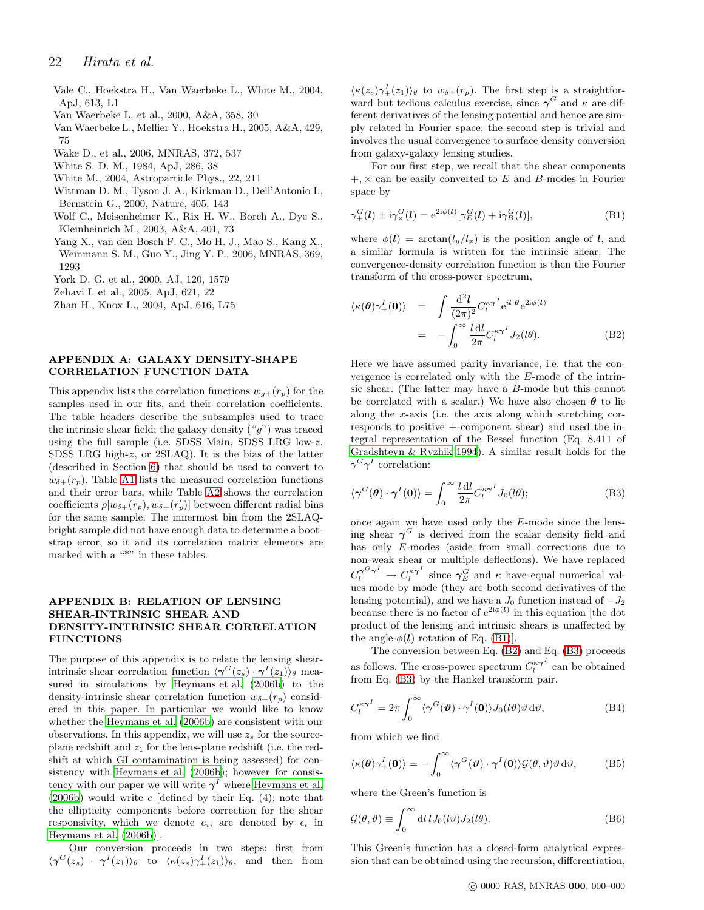- <span id="page-21-2"></span>Vale C., Hoekstra H., Van Waerbeke L., White M., 2004, ApJ, 613, L1
- <span id="page-21-0"></span>Van Waerbeke L. et al., 2000, A&A, 358, 30
- <span id="page-21-3"></span>Van Waerbeke L., Mellier Y., Hoekstra H., 2005, A&A, 429, 75
- <span id="page-21-10"></span>Wake D., et al., 2006, MNRAS, 372, 537
- <span id="page-21-12"></span>White S. D. M., 1984, ApJ, 286, 38
- <span id="page-21-4"></span>White M., 2004, Astroparticle Phys., 22, 211
- <span id="page-21-1"></span>Wittman D. M., Tyson J. A., Kirkman D., Dell'Antonio I., Bernstein G., 2000, Nature, 405, 143
- <span id="page-21-13"></span>Wolf C., Meisenheimer K., Rix H. W., Borch A., Dye S., Kleinheinrich M., 2003, A&A, 401, 73
- <span id="page-21-6"></span>Yang X., van den Bosch F. C., Mo H. J., Mao S., Kang X., Weinmann S. M., Guo Y., Jing Y. P., 2006, MNRAS, 369, 1293
- <span id="page-21-9"></span>York D. G. et al., 2000, AJ, 120, 1579
- <span id="page-21-11"></span>Zehavi I. et al., 2005, ApJ, 621, 22
- <span id="page-21-5"></span>Zhan H., Knox L., 2004, ApJ, 616, L75

## <span id="page-21-7"></span>APPENDIX A: GALAXY DENSITY-SHAPE CORRELATION FUNCTION DATA

This appendix lists the correlation functions  $w_{g+}(r_p)$  for the samples used in our fits, and their correlation coefficients. The table headers describe the subsamples used to trace the intrinsic shear field; the galaxy density  $({}^{\omega}g^{\gamma})$  was traced using the full sample (i.e. SDSS Main, SDSS LRG low-z, SDSS LRG high-z, or 2SLAQ). It is the bias of the latter (described in Section [6\)](#page-9-0) that should be used to convert to  $w_{\delta+}(r_p)$ . Table [A1](#page-22-0) lists the measured correlation functions and their error bars, while Table [A2](#page-23-0) shows the correlation coefficients  $\rho[w_{\delta+}(r_p), w_{\delta+}(r'_p)]$  between different radial bins for the same sample. The innermost bin from the 2SLAQbright sample did not have enough data to determine a bootstrap error, so it and its correlation matrix elements are marked with a "\*" in these tables.

## <span id="page-21-8"></span>APPENDIX B: RELATION OF LENSING SHEAR-INTRINSIC SHEAR AND DENSITY-INTRINSIC SHEAR CORRELATION FUNCTIONS

The purpose of this appendix is to relate the lensing shearintrinsic shear correlation function  $\langle \gamma^G(z_s) \cdot \gamma^I(z_1) \rangle_{\theta}$  measured in simulations by [Heymans et al. \(2006b](#page-20-38)) to the density-intrinsic shear correlation function  $w_{\delta+}(r_p)$  considered in this paper. In particular we would like to know whether the [Heymans et al. \(2006b](#page-20-38)) are consistent with our observations. In this appendix, we will use  $z_s$  for the sourceplane redshift and  $z_1$  for the lens-plane redshift (i.e. the redshift at which GI contamination is being assessed) for consistency with [Heymans et al. \(2006b](#page-20-38)); however for consistency with our paper we will write  $\gamma^I$  where [Heymans et al.](#page-20-38)  $(2006b)$  $(2006b)$  would write e [defined by their Eq.  $(4)$ ; note that the ellipticity components before correction for the shear responsivity, which we denote  $e_i$ , are denoted by  $\epsilon_i$  in [Heymans et al. \(2006b\)](#page-20-38)].

Our conversion proceeds in two steps: first from  $\langle \gamma^G(z_s) \cdot \gamma^I(z_1) \rangle_{\theta}$  to  $\langle \kappa(z_s) \gamma^I_+(z_1) \rangle_{\theta}$ , and then from

 $\langle \kappa(z_s)\gamma_+^I(z_1)\rangle_\theta$  to  $w_{\delta+}(r_p)$ . The first step is a straightforward but tedious calculus exercise, since  $\gamma^G$  and  $\kappa$  are different derivatives of the lensing potential and hence are simply related in Fourier space; the second step is trivial and involves the usual convergence to surface density conversion from galaxy-galaxy lensing studies.

For our first step, we recall that the shear components  $+$ ,  $\times$  can be easily converted to E and B-modes in Fourier space by

<span id="page-21-14"></span>
$$
\gamma_{+}^{G}(l) \pm i\gamma_{\times}^{G}(l) = e^{2i\phi(l)}[\gamma_{E}^{G}(l) + i\gamma_{B}^{G}(l)],
$$
\n(B1)

where  $\phi(\mathbf{l}) = \arctan(l_y/l_x)$  is the position angle of  $\mathbf{l}$ , and a similar formula is written for the intrinsic shear. The convergence-density correlation function is then the Fourier transform of the cross-power spectrum,

<span id="page-21-15"></span>
$$
\langle \kappa(\theta) \gamma_+^I(0) \rangle = \int \frac{\mathrm{d}^2 l}{(2\pi)^2} C_l^{\kappa \gamma^I} e^{i l \cdot \theta} e^{2i \phi(l)}
$$
  

$$
= - \int_0^\infty \frac{l \, \mathrm{d} l}{2\pi} C_l^{\kappa \gamma^I} J_2(l\theta). \tag{B2}
$$

Here we have assumed parity invariance, i.e. that the convergence is correlated only with the E-mode of the intrinsic shear. (The latter may have a B-mode but this cannot be correlated with a scalar.) We have also chosen  $\theta$  to lie along the x-axis (i.e. the axis along which stretching corresponds to positive +-component shear) and used the integral representation of the Bessel function (Eq. 8.411 of [Gradshteyn & Ryzhik 1994](#page-20-83)). A similar result holds for the  $\gamma^G \gamma^I$  correlation:

<span id="page-21-16"></span>
$$
\langle \gamma^G(\boldsymbol{\theta}) \cdot \gamma^I(\mathbf{0}) \rangle = \int_0^\infty \frac{l \, \mathrm{d}l}{2\pi} C_l^{\kappa \gamma^I} J_0(l\boldsymbol{\theta});\tag{B3}
$$

once again we have used only the E-mode since the lensing shear  $\gamma^G$  is derived from the scalar density field and has only E-modes (aside from small corrections due to non-weak shear or multiple deflections). We have replaced  $C_l^{\gamma G \gamma^I} \rightarrow C_l^{\kappa \gamma^I}$  $\int_l^{\kappa \gamma^I}$  since  $\gamma_E^G$  and  $\kappa$  have equal numerical values mode by mode (they are both second derivatives of the lensing potential), and we have a  $J_0$  function instead of  $-J_2$ because there is no factor of  $e^{2i\phi(l)}$  in this equation [the dot product of the lensing and intrinsic shears is unaffected by the angle- $\phi(l)$  rotation of Eq. [\(B1\)](#page-21-14)].

The conversion between Eq. [\(B2\)](#page-21-15) and Eq. [\(B3\)](#page-21-16) proceeds as follows. The cross-power spectrum  $C_l^{\kappa \gamma^I}$  $\int_{l}^{\kappa \gamma}$  can be obtained from Eq. [\(B3\)](#page-21-16) by the Hankel transform pair,

$$
C_l^{\kappa \gamma^I} = 2\pi \int_0^\infty \langle \gamma^G(\boldsymbol{\vartheta}) \cdot \gamma^I(\mathbf{0}) \rangle J_0(l\boldsymbol{\vartheta}) \boldsymbol{\vartheta} d\boldsymbol{\vartheta}, \tag{B4}
$$

from which we find

$$
\langle \kappa(\boldsymbol{\theta}) \gamma_+^I(\mathbf{0}) \rangle = -\int_0^\infty \langle \gamma^G(\boldsymbol{\vartheta}) \cdot \gamma^I(\mathbf{0}) \rangle \mathcal{G}(\boldsymbol{\theta}, \boldsymbol{\vartheta}) \vartheta \, d\vartheta, \tag{B5}
$$

where the Green's function is

$$
\mathcal{G}(\theta,\vartheta) \equiv \int_0^\infty \mathrm{d}l \, l J_0(l\vartheta) J_2(l\theta). \tag{B6}
$$

This Green's function has a closed-form analytical expression that can be obtained using the recursion, differentiation,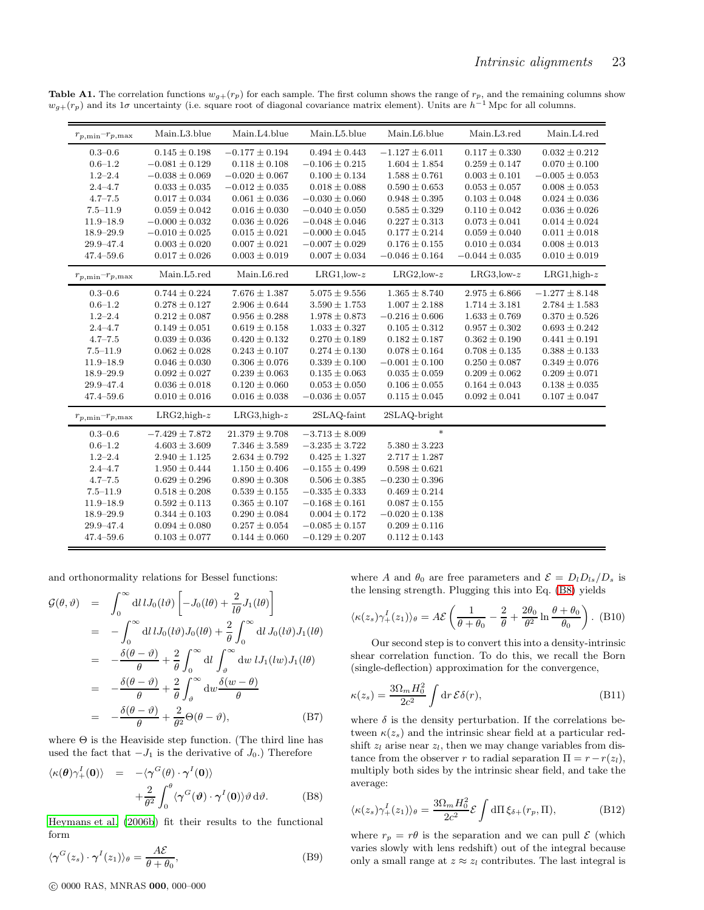<span id="page-22-0"></span>

| $r_{p,\text{min}}-r_{p,\text{max}}$       | Main.L3.blue       | Main.L4.blue       | Main.L5.blue       | Main.L6.blue       | Main.L3.red        | Main.L4.red        |
|-------------------------------------------|--------------------|--------------------|--------------------|--------------------|--------------------|--------------------|
| $0.3 - 0.6$                               | $0.145 \pm 0.198$  | $-0.177 \pm 0.194$ | $0.494 \pm 0.443$  | $-1.127 \pm 6.011$ | $0.117 \pm 0.330$  | $0.032 \pm 0.212$  |
| $0.6 - 1.2$                               | $-0.081 \pm 0.129$ | $0.118 \pm 0.108$  | $-0.106 \pm 0.215$ | $1.604 \pm 1.854$  | $0.259 \pm 0.147$  | $0.070 \pm 0.100$  |
| $1.2 - 2.4$                               | $-0.038 \pm 0.069$ | $-0.020 \pm 0.067$ | $0.100 \pm 0.134$  | $1.588 \pm 0.761$  | $0.003 \pm 0.101$  | $-0.005 \pm 0.053$ |
| $2.4 - 4.7$                               | $0.033 \pm 0.035$  | $-0.012 \pm 0.035$ | $0.018 \pm 0.088$  | $0.590 \pm 0.653$  | $0.053 \pm 0.057$  | $0.008 \pm 0.053$  |
| $4.7 - 7.5$                               | $0.017 \pm 0.034$  | $0.061 \pm 0.036$  | $-0.030 \pm 0.060$ | $0.948 \pm 0.395$  | $0.103 \pm 0.048$  | $0.024 \pm 0.036$  |
| $7.5 - 11.9$                              | $0.059 \pm 0.042$  | $0.016 \pm 0.030$  | $-0.040 \pm 0.050$ | $0.585 \pm 0.329$  | $0.110 \pm 0.042$  | $0.036 \pm 0.026$  |
| $11.9 - 18.9$                             | $-0.000 \pm 0.032$ | $0.036 \pm 0.026$  | $-0.048 \pm 0.046$ | $0.227 \pm 0.313$  | $0.073 \pm 0.041$  | $0.014 \pm 0.024$  |
| $18.9 - 29.9$                             | $-0.010 \pm 0.025$ | $0.015 \pm 0.021$  | $-0.000 \pm 0.045$ | $0.177 \pm 0.214$  | $0.059 \pm 0.040$  | $0.011 \pm 0.018$  |
| 29.9-47.4                                 | $0.003 \pm 0.020$  | $0.007 \pm 0.021$  | $-0.007 \pm 0.029$ | $0.176 \pm 0.155$  | $0.010 \pm 0.034$  | $0.008 \pm 0.013$  |
| $47.4 - 59.6$                             | $0.017 \pm 0.026$  | $0.003 \pm 0.019$  | $0.007 \pm 0.034$  | $-0.046 \pm 0.164$ | $-0.044 \pm 0.035$ | $0.010 \pm 0.019$  |
| $r_{p,\mathrm{min}}{-}r_{p,\mathrm{max}}$ | Main.L5.red        | Main.L6.red        | $LRG1, low-z$      | $LRG2, low-z$      | $LRG3, low-z$      | $LRG1, high-z$     |
| $0.3 - 0.6$                               | $0.744 \pm 0.224$  | $7.676 \pm 1.387$  | $5.075 \pm 9.556$  | $1.365 \pm 8.740$  | $2.975 \pm 6.866$  | $-1.277 \pm 8.148$ |
| $0.6 - 1.2$                               | $0.278 \pm 0.127$  | $2.906 \pm 0.644$  | $3.590 \pm 1.753$  | $1.007 \pm 2.188$  | $1.714 \pm 3.181$  | $2.784 \pm 1.583$  |
| $1.2 - 2.4$                               | $0.212 \pm 0.087$  | $0.956 \pm 0.288$  | $1.978 \pm 0.873$  | $-0.216 \pm 0.606$ | $1.633 \pm 0.769$  | $0.370 \pm 0.526$  |
| $2.4 - 4.7$                               | $0.149 \pm 0.051$  | $0.619 \pm 0.158$  | $1.033 \pm 0.327$  | $0.105 \pm 0.312$  | $0.957 \pm 0.302$  | $0.693 \pm 0.242$  |
| $4.7 - 7.5$                               | $0.039 \pm 0.036$  | $0.420 \pm 0.132$  | $0.270 \pm 0.189$  | $0.182 \pm 0.187$  | $0.362 \pm 0.190$  | $0.441 \pm 0.191$  |
| $7.5 - 11.9$                              | $0.062 \pm 0.028$  | $0.243 \pm 0.107$  | $0.274 \pm 0.130$  | $0.078 \pm 0.164$  | $0.708 \pm 0.135$  | $0.388 \pm 0.133$  |
| $11.9 - 18.9$                             | $0.046 \pm 0.030$  | $0.306 \pm 0.076$  | $0.339 \pm 0.100$  | $-0.001 \pm 0.100$ | $0.250 \pm 0.087$  | $0.349 \pm 0.076$  |
| $18.9 - 29.9$                             | $0.092 \pm 0.027$  | $0.239 \pm 0.063$  | $0.135 \pm 0.063$  | $0.035 \pm 0.059$  | $0.209 \pm 0.062$  | $0.209 \pm 0.071$  |
| 29.9-47.4                                 | $0.036 \pm 0.018$  | $0.120 \pm 0.060$  | $0.053 \pm 0.050$  | $0.106 \pm 0.055$  | $0.164 \pm 0.043$  | $0.138 \pm 0.035$  |
| $47.4 - 59.6$                             | $0.010 \pm 0.016$  | $0.016 \pm 0.038$  | $-0.036 \pm 0.057$ | $0.115 \pm 0.045$  | $0.092 \pm 0.041$  | $0.107 \pm 0.047$  |
| $r_{p,\text{min}}-r_{p,\text{max}}$       | $LRG2, high-z$     | $LRG3, high-z$     | 2SLAQ-faint        | 2SLAQ-bright       |                    |                    |
| $0.3 - 0.6$                               | $-7.429 \pm 7.872$ | $21.379 \pm 9.708$ | $-3.713 \pm 8.009$ | $\ast$             |                    |                    |
| $0.6 - 1.2$                               | $4.603 \pm 3.609$  | $7.346 \pm 3.589$  | $-3.235 \pm 3.722$ | $5.380 \pm 3.223$  |                    |                    |
| $1.2 - 2.4$                               | $2.940 \pm 1.125$  | $2.634 \pm 0.792$  | $0.425 \pm 1.327$  | $2.717 \pm 1.287$  |                    |                    |
| $2.4 - 4.7$                               | $1.950 \pm 0.444$  | $1.150 \pm 0.406$  | $-0.155 \pm 0.499$ | $0.598 \pm 0.621$  |                    |                    |
| $4.7 - 7.5$                               | $0.629 \pm 0.296$  | $0.890 \pm 0.308$  | $0.506 \pm 0.385$  | $-0.230 \pm 0.396$ |                    |                    |
| $7.5 - 11.9$                              | $0.518 \pm 0.208$  | $0.539 \pm 0.155$  | $-0.335 \pm 0.333$ | $0.469 \pm 0.214$  |                    |                    |
| $11.9 - 18.9$                             | $0.592 \pm 0.113$  | $0.365 \pm 0.107$  | $-0.168 \pm 0.161$ | $0.087 \pm 0.155$  |                    |                    |
| $18.9 - 29.9$                             | $0.344 \pm 0.103$  | $0.290 \pm 0.084$  | $0.004 \pm 0.172$  | $-0.020 \pm 0.138$ |                    |                    |
| 29.9-47.4                                 | $0.094 \pm 0.080$  | $0.257 \pm 0.054$  | $-0.085 \pm 0.157$ | $0.209 \pm 0.116$  |                    |                    |
| $47.4 - 59.6$                             | $0.103 \pm 0.077$  | $0.144 \pm 0.060$  | $-0.129 \pm 0.207$ | $0.112 \pm 0.143$  |                    |                    |

**Table A1.** The correlation functions  $w_{g+}(r_p)$  for each sample. The first column shows the range of  $r_p$ , and the remaining columns show  $w_{g+}(r_p)$  and its 1 $\sigma$  uncertainty (i.e. square root of diagonal covariance matrix element). Units are  $h^{-1}$  Mpc for all columns.

and orthonormality relations for Bessel functions:

$$
\mathcal{G}(\theta,\vartheta) = \int_0^\infty \mathrm{d}l \, lJ_0(l\vartheta) \left[ -J_0(l\theta) + \frac{2}{l\theta} J_1(l\theta) \right]
$$
  
\n
$$
= -\int_0^\infty \mathrm{d}l \, lJ_0(l\vartheta) J_0(l\theta) + \frac{2}{\theta} \int_0^\infty \mathrm{d}l \, J_0(l\vartheta) J_1(l\theta)
$$
  
\n
$$
= -\frac{\delta(\theta-\vartheta)}{\theta} + \frac{2}{\theta} \int_0^\infty \mathrm{d}l \int_\vartheta^\infty \mathrm{d}w \, lJ_1(lw) J_1(l\theta)
$$
  
\n
$$
= -\frac{\delta(\theta-\vartheta)}{\theta} + \frac{2}{\theta} \int_\vartheta^\infty \mathrm{d}w \frac{\delta(w-\theta)}{\theta}
$$
  
\n
$$
= -\frac{\delta(\theta-\vartheta)}{\theta} + \frac{2}{\theta^2} \Theta(\theta-\vartheta), \qquad (B7)
$$

where  $\Theta$  is the Heaviside step function. (The third line has used the fact that  $-J_1$  is the derivative of  $J_0$ .) Therefore

<span id="page-22-1"></span>
$$
\langle \kappa(\boldsymbol{\theta}) \gamma_+^I(\mathbf{0}) \rangle = - \langle \gamma^G(\boldsymbol{\theta}) \cdot \gamma^I(\mathbf{0}) \rangle + \frac{2}{\theta^2} \int_0^{\theta} \langle \gamma^G(\boldsymbol{\theta}) \cdot \gamma^I(\mathbf{0}) \rangle \vartheta \, d\vartheta.
$$
 (B8)

[Heymans et al. \(2006b](#page-20-38)) fit their results to the functional form

$$
\langle \gamma^{G}(z_s) \cdot \gamma^{I}(z_1) \rangle_{\theta} = \frac{A \mathcal{E}}{\theta + \theta_0},\tag{B9}
$$

where A and  $\theta_0$  are free parameters and  $\mathcal{E} = D_l D_{ls}/D_s$  is the lensing strength. Plugging this into Eq. [\(B8\)](#page-22-1) yields

<span id="page-22-2"></span>
$$
\langle \kappa(z_s)\gamma_+^I(z_1)\rangle_\theta = A\mathcal{E}\left(\frac{1}{\theta + \theta_0} - \frac{2}{\theta} + \frac{2\theta_0}{\theta^2} \ln \frac{\theta + \theta_0}{\theta_0}\right). (B10)
$$

Our second step is to convert this into a density-intrinsic shear correlation function. To do this, we recall the Born (single-deflection) approximation for the convergence,

$$
\kappa(z_s) = \frac{3\Omega_m H_0^2}{2c^2} \int \mathrm{d}r \,\mathcal{E}\delta(r),\tag{B11}
$$

where  $\delta$  is the density perturbation. If the correlations between  $\kappa(z_s)$  and the intrinsic shear field at a particular redshift  $z_l$  arise near  $z_l$ , then we may change variables from distance from the observer r to radial separation  $\Pi = r - r(z_l)$ , multiply both sides by the intrinsic shear field, and take the average:

$$
\langle \kappa(z_s)\gamma_+^I(z_1)\rangle_\theta = \frac{3\Omega_m H_0^2}{2c^2} \mathcal{E} \int d\Pi \,\xi_{\delta+}(r_p, \Pi),\tag{B12}
$$

where  $r_p = r\theta$  is the separation and we can pull  $\mathcal E$  (which varies slowly with lens redshift) out of the integral because only a small range at  $z \approx z_l$  contributes. The last integral is